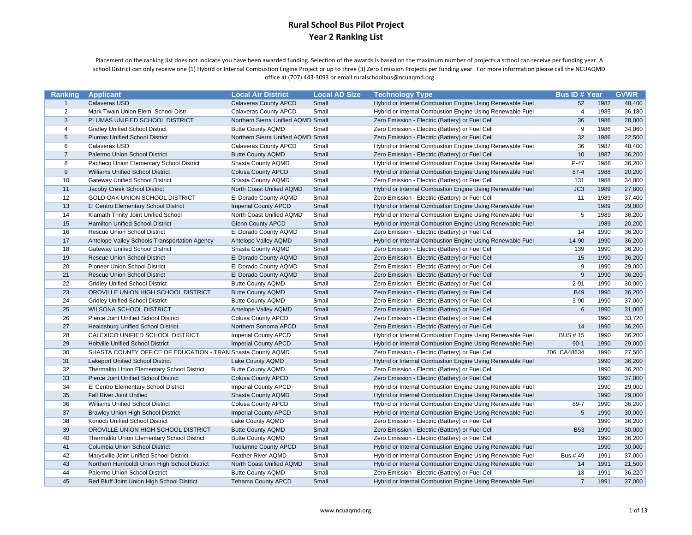Placement on the ranking list does not indicate you have been awarded funding. Selection of the awards is based on the maximum number of projects <sup>a</sup> school can receive per funding year. A school District can only receive one (1) Hybrid or Internal Combustion Engine Project or up to three (3) Zero Emission Projects per funding year. For more information please call the NCUAQMD office at (707) 443‐3093 or email ruralschoolbus@ncuaqmd.org

| Ranking        | <b>Applicant</b>                                            | <b>Local Air District</b>          | <b>Local AD Size</b> | <b>Technology Type</b>                                    | <b>Bus ID# Year</b> |      | <b>GVWR</b> |
|----------------|-------------------------------------------------------------|------------------------------------|----------------------|-----------------------------------------------------------|---------------------|------|-------------|
| $\mathbf{1}$   | Calaveras USD                                               | <b>Calaveras County APCD</b>       | Small                | Hybrid or Internal Combustion Engine Using Renewable Fuel | 52                  | 1982 | 48,400      |
| 2              | Mark Twain Union Elem. School Distr                         | Calaveras County APCD              | Small                | Hybrid or Internal Combustion Engine Using Renewable Fuel | $\overline{4}$      | 1985 | 36,180      |
| 3              | PLUMAS UNIFIED SCHOOL DISTRICT                              | Northern Sierra Unified AQMD Small |                      | Zero Emission - Electric (Battery) or Fuel Cell           | 36                  | 1986 | 28,000      |
| $\overline{4}$ | <b>Gridley Unified School District</b>                      | <b>Butte County AQMD</b>           | Small                | Zero Emission - Electric (Battery) or Fuel Cell           | 9                   | 1986 | 34,060      |
| 5              | <b>Plumas Unified School District</b>                       | Northern Sierra Unified AQMD Small |                      | Zero Emission - Electric (Battery) or Fuel Cell           | 32                  | 1986 | 22,500      |
| 6              | <b>Calaveras USD</b>                                        | Calaveras County APCD              | Small                | Hybrid or Internal Combustion Engine Using Renewable Fuel | 36                  | 1987 | 48,400      |
| $\overline{7}$ | Palermo Union School District                               | <b>Butte County AQMD</b>           | Small                | Zero Emission - Electric (Battery) or Fuel Cell           | 10                  | 1987 | 36,200      |
| 8              | Pacheco Union Elementary School District                    | Shasta County AQMD                 | Small                | Hybrid or Internal Combustion Engine Using Renewable Fuel | $P-47$              | 1988 | 36,200      |
| 9              | Williams Unified School District                            | <b>Colusa County APCD</b>          | Small                | Hybrid or Internal Combustion Engine Using Renewable Fuel | $87 - 4$            | 1988 | 20,200      |
| 10             | <b>Gateway Unified School District</b>                      | Shasta County AQMD                 | Small                | Zero Emission - Electric (Battery) or Fuel Cell           | 131                 | 1988 | 34,000      |
| 11             | Jacoby Creek School District                                | North Coast Unified AQMD           | Small                | Hybrid or Internal Combustion Engine Using Renewable Fuel | JC3                 | 1989 | 27,800      |
| 12             | GOLD OAK UNION SCHOOL DISTRICT                              | El Dorado County AQMD              | Small                | Zero Emission - Electric (Battery) or Fuel Cell           | 11                  | 1989 | 37,400      |
| 13             | El Centro Elementary School District                        | <b>Imperial County APCD</b>        | Small                | Hybrid or Internal Combustion Engine Using Renewable Fuel |                     | 1989 | 29,000      |
| 14             | Klamath Trinity Joint Unified School                        | North Coast Unified AQMD           | Small                | Hybrid or Internal Combustion Engine Using Renewable Fuel | 5                   | 1989 | 36,200      |
| 15             | <b>Hamilton Unified School District</b>                     | <b>Glenn County APCD</b>           | Small                | Hybrid or Internal Combustion Engine Using Renewable Fuel |                     | 1989 | 20,200      |
| 16             | <b>Rescue Union School District</b>                         | El Dorado County AQMD              | Small                | Zero Emission - Electric (Battery) or Fuel Cell           | 14                  | 1990 | 36,200      |
| 17             | Antelope Valley Schools Transportation Agency               | Antelope Valley AQMD               | Small                | Hybrid or Internal Combustion Engine Using Renewable Fuel | 14-90               | 1990 | 36,200      |
| 18             | <b>Gateway Unified School District</b>                      | Shasta County AQMD                 | Small                | Zero Emission - Electric (Battery) or Fuel Cell           | 139                 | 1990 | 36,200      |
| 19             | <b>Rescue Union School District</b>                         | El Dorado County AQMD              | Small                | Zero Emission - Electric (Battery) or Fuel Cell           | 15                  | 1990 | 36,200      |
| 20             | <b>Pioneer Union School District</b>                        | El Dorado County AQMD              | Small                | Zero Emission - Electric (Battery) or Fuel Cell           | 9                   | 1990 | 29,000      |
| 21             | <b>Rescue Union School District</b>                         | El Dorado County AQMD              | Small                | Zero Emission - Electric (Battery) or Fuel Cell           | 9                   | 1990 | 36,200      |
| 22             | <b>Gridley Unified School District</b>                      | <b>Butte County AQMD</b>           | Small                | Zero Emission - Electric (Battery) or Fuel Cell           | $2 - 91$            | 1990 | 30,000      |
| 23             | OROVILLE UNION HIGH SCHOOL DISTRICT                         | <b>Butte County AQMD</b>           | Small                | Zero Emission - Electric (Battery) or Fuel Cell           | <b>B49</b>          | 1990 | 36,200      |
| 24             | <b>Gridley Unified School District</b>                      | <b>Butte County AQMD</b>           | Small                | Zero Emission - Electric (Battery) or Fuel Cell           | $3 - 90$            | 1990 | 37,000      |
| 25             | <b>WILSONA SCHOOL DISTRICT</b>                              | Antelope Valley AQMD               | Small                | Zero Emission - Electric (Battery) or Fuel Cell           | 6                   | 1990 | 31,000      |
| 26             | Pierce Joint Unified School District                        | <b>Colusa County APCD</b>          | Small                | Zero Emission - Electric (Battery) or Fuel Cell           |                     | 1990 | 33,720      |
| 27             | <b>Healdsburg Unified School District</b>                   | Northern Sonoma APCD               | Small                | Zero Emission - Electric (Battery) or Fuel Cell           | 14                  | 1990 | 36,200      |
| 28             | CALEXICO UNIFIED SCHOOL DISTRICT                            | <b>Imperial County APCD</b>        | Small                | Hybrid or Internal Combustion Engine Using Renewable Fuel | <b>BUS #15</b>      | 1990 | 36,200      |
| 29             | <b>Holtville Unified School District</b>                    | <b>Imperial County APCD</b>        | Small                | Hybrid or Internal Combustion Engine Using Renewable Fuel | $90-1$              | 1990 | 29,000      |
| 30             | SHASTA COUNTY OFFICE OF EDUCATION - TRAN Shasta County AQMD |                                    | Small                | Zero Emission - Electric (Battery) or Fuel Cell           | 706 CA48634         | 1990 | 27,500      |
| 31             | <b>Lakeport Unified School District</b>                     | Lake County AQMD                   | Small                | Hybrid or Internal Combustion Engine Using Renewable Fuel |                     | 1990 | 36,200      |
| 32             | Thermalito Union Elementary School District                 | <b>Butte County AQMD</b>           | Small                | Zero Emission - Electric (Battery) or Fuel Cell           |                     | 1990 | 36,200      |
| 33             | Pierce Joint Unified School District                        | <b>Colusa County APCD</b>          | Small                | Zero Emission - Electric (Battery) or Fuel Cell           |                     | 1990 | 37,000      |
| 34             | El Centro Elementary School District                        | <b>Imperial County APCD</b>        | Small                | Hybrid or Internal Combustion Engine Using Renewable Fuel |                     | 1990 | 29,000      |
| 35             | Fall River Joint Unified                                    | Shasta County AQMD                 | Small                | Hybrid or Internal Combustion Engine Using Renewable Fuel |                     | 1990 | 29,000      |
| 36             | <b>Williams Unified School District</b>                     | <b>Colusa County APCD</b>          | Small                | Hybrid or Internal Combustion Engine Using Renewable Fuel | 89-7                | 1990 | 36,200      |
| 37             | <b>Brawley Union High School District</b>                   | <b>Imperial County APCD</b>        | Small                | Hybrid or Internal Combustion Engine Using Renewable Fuel | 5                   | 1990 | 30,000      |
| 38             | Konocti Unified School District                             | Lake County AQMD                   | Small                | Zero Emission - Electric (Battery) or Fuel Cell           |                     | 1990 | 36,200      |
| 39             | OROVILLE UNION HIGH SCHOOL DISTRICT                         | <b>Butte County AQMD</b>           | Small                | Zero Emission - Electric (Battery) or Fuel Cell           | <b>B53</b>          | 1990 | 30,000      |
| 40             | Thermalito Union Elementary School District                 | <b>Butte County AQMD</b>           | Small                | Zero Emission - Electric (Battery) or Fuel Cell           |                     | 1990 | 36,200      |
| 41             | Columbia Union School District                              | <b>Tuolumne County APCD</b>        | Small                | Hybrid or Internal Combustion Engine Using Renewable Fuel |                     | 1990 | 30,000      |
| 42             | Marysville Joint Unified School District                    | Feather River AQMD                 | Small                | Hybrid or Internal Combustion Engine Using Renewable Fuel | <b>Bus #49</b>      | 1991 | 37,000      |
| 43             | Northern Humboldt Union High School District                | North Coast Unified AQMD           | Small                | Hybrid or Internal Combustion Engine Using Renewable Fuel | 14                  | 1991 | 21,500      |
| 44             | Palermo Union School District                               | <b>Butte County AQMD</b>           | Small                | Zero Emission - Electric (Battery) or Fuel Cell           | 13                  | 1991 | 36,220      |
| 45             | Red Bluff Joint Union High School District                  | <b>Tehama County APCD</b>          | Small                | Hybrid or Internal Combustion Engine Using Renewable Fuel | $\overline{7}$      | 1991 | 37,000      |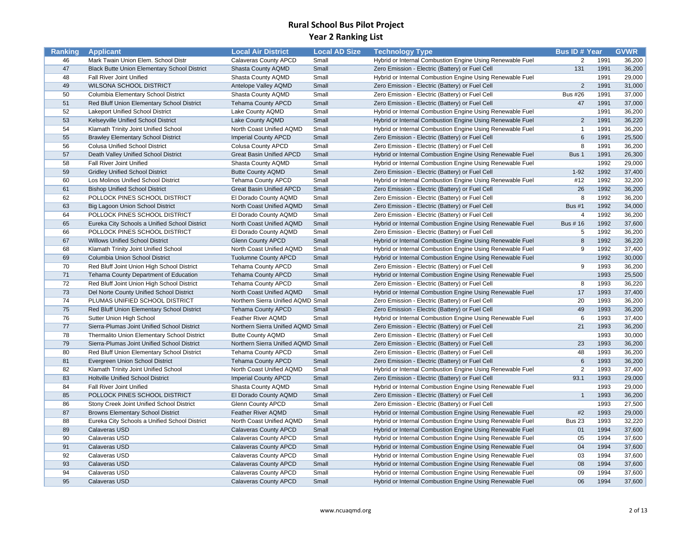| Ranking | <b>Applicant</b>                                    | <b>Local Air District</b>          | <b>Local AD Size</b> | <b>Technology Type</b>                                    | <b>Bus ID# Year</b> |      | <b>GVWR</b> |
|---------|-----------------------------------------------------|------------------------------------|----------------------|-----------------------------------------------------------|---------------------|------|-------------|
| 46      | Mark Twain Union Elem. School Distr                 | Calaveras County APCD              | Small                | Hybrid or Internal Combustion Engine Using Renewable Fuel | 2                   | 1991 | 36,200      |
| 47      | <b>Black Butte Union Elementary School District</b> | Shasta County AQMD                 | Small                | Zero Emission - Electric (Battery) or Fuel Cell           | 131                 | 1991 | 36,200      |
| 48      | Fall River Joint Unified                            | Shasta County AQMD                 | Small                | Hybrid or Internal Combustion Engine Using Renewable Fuel |                     | 1991 | 29,000      |
| 49      | <b>WILSONA SCHOOL DISTRICT</b>                      | Antelope Valley AQMD               | Small                | Zero Emission - Electric (Battery) or Fuel Cell           | $\overline{2}$      | 1991 | 31,000      |
| 50      | Columbia Elementary School District                 | Shasta County AQMD                 | Small                | Zero Emission - Electric (Battery) or Fuel Cell           | <b>Bus #26</b>      | 1991 | 37,000      |
| 51      | Red Bluff Union Elementary School District          | <b>Tehama County APCD</b>          | Small                | Zero Emission - Electric (Battery) or Fuel Cell           | 47                  | 1991 | 37,000      |
| 52      | Lakeport Unified School District                    | Lake County AQMD                   | Small                | Hybrid or Internal Combustion Engine Using Renewable Fuel |                     | 1991 | 36,200      |
| 53      | Kelseyville Unified School District                 | Lake County AQMD                   | Small                | Hybrid or Internal Combustion Engine Using Renewable Fuel | 2                   | 1991 | 36,220      |
| 54      | Klamath Trinity Joint Unified School                | North Coast Unified AQMD           | Small                | Hybrid or Internal Combustion Engine Using Renewable Fuel | $\overline{1}$      | 1991 | 36,200      |
| 55      | <b>Brawley Elementary School District</b>           | <b>Imperial County APCD</b>        | Small                | Zero Emission - Electric (Battery) or Fuel Cell           | 6                   | 1991 | 25,500      |
| 56      | <b>Colusa Unified School District</b>               | <b>Colusa County APCD</b>          | Small                | Zero Emission - Electric (Battery) or Fuel Cell           | 8                   | 1991 | 36,200      |
| 57      | Death Valley Unified School District                | <b>Great Basin Unified APCD</b>    | Small                | Hybrid or Internal Combustion Engine Using Renewable Fuel | Bus 1               | 1991 | 26,300      |
| 58      | Fall River Joint Unified                            | Shasta County AQMD                 | Small                | Hybrid or Internal Combustion Engine Using Renewable Fuel |                     | 1992 | 29,000      |
| 59      | <b>Gridley Unified School District</b>              | <b>Butte County AQMD</b>           | Small                | Zero Emission - Electric (Battery) or Fuel Cell           | $1 - 92$            | 1992 | 37,400      |
| 60      | Los Molinos Unified School District                 | <b>Tehama County APCD</b>          | Small                | Hybrid or Internal Combustion Engine Using Renewable Fuel | #12                 | 1992 | 32,200      |
| 61      | <b>Bishop Unified School District</b>               | <b>Great Basin Unified APCD</b>    | Small                | Zero Emission - Electric (Battery) or Fuel Cell           | 26                  | 1992 | 36,200      |
| 62      | POLLOCK PINES SCHOOL DISTRICT                       | El Dorado County AQMD              | Small                | Zero Emission - Electric (Battery) or Fuel Cell           | 8                   | 1992 | 36,200      |
| 63      | <b>Big Lagoon Union School District</b>             | North Coast Unified AQMD           | Small                | Zero Emission - Electric (Battery) or Fuel Cell           | <b>Bus #1</b>       | 1992 | 34,000      |
| 64      | POLLOCK PINES SCHOOL DISTRICT                       | El Dorado County AQMD              | Small                | Zero Emission - Electric (Battery) or Fuel Cell           | 4                   | 1992 | 36,200      |
| 65      | Eureka City Schools a Unified School District       | North Coast Unified AQMD           | Small                | Hybrid or Internal Combustion Engine Using Renewable Fuel | Bus # 16            | 1992 | 37,600      |
| 66      | POLLOCK PINES SCHOOL DISTRICT                       | El Dorado County AQMD              | Small                | Zero Emission - Electric (Battery) or Fuel Cell           | 5                   | 1992 | 36,200      |
| 67      | <b>Willows Unified School District</b>              | <b>Glenn County APCD</b>           | Small                | Hybrid or Internal Combustion Engine Using Renewable Fuel | 8                   | 1992 | 36,220      |
| 68      | Klamath Trinity Joint Unified School                | North Coast Unified AQMD           | Small                | Hybrid or Internal Combustion Engine Using Renewable Fuel | 9                   | 1992 | 37,400      |
| 69      | Columbia Union School District                      | <b>Tuolumne County APCD</b>        | Small                | Hybrid or Internal Combustion Engine Using Renewable Fuel |                     | 1992 | 30,000      |
| 70      | Red Bluff Joint Union High School District          | <b>Tehama County APCD</b>          | Small                | Zero Emission - Electric (Battery) or Fuel Cell           | 9                   | 1993 | 36,200      |
| 71      | Tehama County Department of Education               | <b>Tehama County APCD</b>          | Small                | Hybrid or Internal Combustion Engine Using Renewable Fuel |                     | 1993 | 25,500      |
| 72      | Red Bluff Joint Union High School District          | <b>Tehama County APCD</b>          | Small                | Zero Emission - Electric (Battery) or Fuel Cell           | 8                   | 1993 | 36,220      |
| 73      | Del Norte County Unified School District            | North Coast Unified AQMD           | Small                | Hybrid or Internal Combustion Engine Using Renewable Fuel | 17                  | 1993 | 37,400      |
| 74      | PLUMAS UNIFIED SCHOOL DISTRICT                      | Northern Sierra Unified AQMD Small |                      | Zero Emission - Electric (Battery) or Fuel Cell           | 20                  | 1993 | 36,200      |
| 75      | Red Bluff Union Elementary School District          | <b>Tehama County APCD</b>          | Small                | Zero Emission - Electric (Battery) or Fuel Cell           | 49                  | 1993 | 36,200      |
| 76      | Sutter Union High School                            | Feather River AQMD                 | Small                | Hybrid or Internal Combustion Engine Using Renewable Fuel | 6                   | 1993 | 37,400      |
| 77      | Sierra-Plumas Joint Unified School District         | Northern Sierra Unified AQMD Small |                      | Zero Emission - Electric (Battery) or Fuel Cell           | 21                  | 1993 | 36,200      |
| 78      | Thermalito Union Elementary School District         | <b>Butte County AQMD</b>           | Small                | Zero Emission - Electric (Battery) or Fuel Cell           |                     | 1993 | 30,000      |
| 79      | Sierra-Plumas Joint Unified School District         | Northern Sierra Unified AQMD Small |                      | Zero Emission - Electric (Battery) or Fuel Cell           | 23                  | 1993 | 36,200      |
| 80      | Red Bluff Union Elementary School District          | <b>Tehama County APCD</b>          | Small                | Zero Emission - Electric (Battery) or Fuel Cell           | 48                  | 1993 | 36,200      |
| 81      | Evergreen Union School District                     | <b>Tehama County APCD</b>          | Small                | Zero Emission - Electric (Battery) or Fuel Cell           | 6                   | 1993 | 36,200      |
| 82      | Klamath Trinity Joint Unified School                | North Coast Unified AQMD           | Small                | Hybrid or Internal Combustion Engine Using Renewable Fuel | 2                   | 1993 | 37,400      |
| 83      | <b>Holtville Unified School District</b>            | <b>Imperial County APCD</b>        | Small                | Zero Emission - Electric (Battery) or Fuel Cell           | 93.1                | 1993 | 29,000      |
| 84      | Fall River Joint Unified                            | Shasta County AQMD                 | Small                | Hybrid or Internal Combustion Engine Using Renewable Fuel |                     | 1993 | 29,000      |
| 85      | POLLOCK PINES SCHOOL DISTRICT                       | El Dorado County AQMD              | Small                | Zero Emission - Electric (Battery) or Fuel Cell           | $\overline{1}$      | 1993 | 36,200      |
| 86      | Stony Creek Joint Unified School District           | <b>Glenn County APCD</b>           | Small                | Zero Emission - Electric (Battery) or Fuel Cell           |                     | 1993 | 27,500      |
| 87      | <b>Browns Elementary School District</b>            | <b>Feather River AQMD</b>          | Small                | Hybrid or Internal Combustion Engine Using Renewable Fuel | #2                  | 1993 | 29,000      |
| 88      | Eureka City Schools a Unified School District       | North Coast Unified AQMD           | Small                | Hybrid or Internal Combustion Engine Using Renewable Fuel | <b>Bus 23</b>       | 1993 | 32,220      |
| 89      | Calaveras USD                                       | <b>Calaveras County APCD</b>       | Small                | Hybrid or Internal Combustion Engine Using Renewable Fuel | 01                  | 1994 | 37,600      |
| 90      | Calaveras USD                                       | Calaveras County APCD              | Small                | Hybrid or Internal Combustion Engine Using Renewable Fuel | 05                  | 1994 | 37,600      |
| 91      | Calaveras USD                                       | Calaveras County APCD              | Small                | Hybrid or Internal Combustion Engine Using Renewable Fuel | 04                  | 1994 | 37,600      |
| 92      | Calaveras USD                                       | Calaveras County APCD              | Small                | Hybrid or Internal Combustion Engine Using Renewable Fuel | 03                  | 1994 | 37,600      |
| 93      | Calaveras USD                                       | <b>Calaveras County APCD</b>       | Small                | Hybrid or Internal Combustion Engine Using Renewable Fuel | 08                  | 1994 | 37,600      |
| 94      | Calaveras USD                                       | Calaveras County APCD              | Small                | Hybrid or Internal Combustion Engine Using Renewable Fuel | 09                  | 1994 | 37,600      |
| 95      | Calaveras USD                                       | Calaveras County APCD              | Small                | Hybrid or Internal Combustion Engine Using Renewable Fuel | 06                  | 1994 | 37,600      |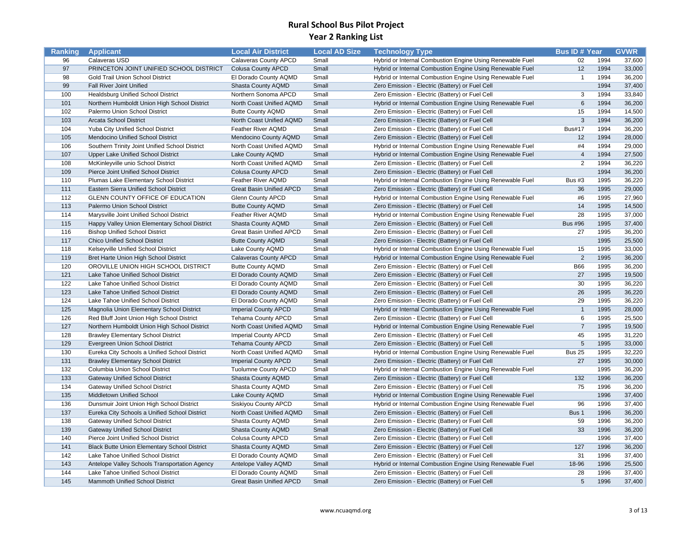| Ranking | <b>Applicant</b>                                    | <b>Local Air District</b>       | <b>Local AD Size</b> | <b>Technology Type</b>                                    | <b>Bus ID# Year</b> |      | <b>GVWR</b> |
|---------|-----------------------------------------------------|---------------------------------|----------------------|-----------------------------------------------------------|---------------------|------|-------------|
| 96      | Calaveras USD                                       | Calaveras County APCD           | Small                | Hybrid or Internal Combustion Engine Using Renewable Fuel | 02                  | 1994 | 37,600      |
| 97      | PRINCETON JOINT UNIFIED SCHOOL DISTRICT             | <b>Colusa County APCD</b>       | Small                | Hybrid or Internal Combustion Engine Using Renewable Fuel | 12                  | 1994 | 33,000      |
| 98      | Gold Trail Union School District                    | El Dorado County AQMD           | Small                | Hybrid or Internal Combustion Engine Using Renewable Fuel | $\overline{1}$      | 1994 | 36,200      |
| 99      | Fall River Joint Unified                            | Shasta County AQMD              | Small                | Zero Emission - Electric (Battery) or Fuel Cell           |                     | 1994 | 37,400      |
| 100     | <b>Healdsburg Unified School District</b>           | Northern Sonoma APCD            | Small                | Zero Emission - Electric (Battery) or Fuel Cell           | 3                   | 1994 | 33,840      |
| 101     | Northern Humboldt Union High School District        | North Coast Unified AQMD        | Small                | Hybrid or Internal Combustion Engine Using Renewable Fuel | 6                   | 1994 | 36,200      |
| 102     | Palermo Union School District                       | <b>Butte County AQMD</b>        | Small                | Zero Emission - Electric (Battery) or Fuel Cell           | 15                  | 1994 | 14,500      |
| 103     | <b>Arcata School District</b>                       | North Coast Unified AQMD        | Small                | Zero Emission - Electric (Battery) or Fuel Cell           | $\mathbf{3}$        | 1994 | 36,200      |
| 104     | Yuba City Unified School District                   | Feather River AQMD              | Small                | Zero Emission - Electric (Battery) or Fuel Cell           | <b>Bus#17</b>       | 1994 | 36,200      |
| 105     | Mendocino Unified School District                   | Mendocino County AQMD           | Small                | Zero Emission - Electric (Battery) or Fuel Cell           | 12                  | 1994 | 28,000      |
| 106     | Southern Trinity Joint Unified School District      | North Coast Unified AQMD        | Small                | Hybrid or Internal Combustion Engine Using Renewable Fuel | #4                  | 1994 | 29,000      |
| 107     | <b>Upper Lake Unified School District</b>           | Lake County AQMD                | Small                | Hybrid or Internal Combustion Engine Using Renewable Fuel | $\overline{4}$      | 1994 | 27,500      |
| 108     | McKinleyville unio School District                  | North Coast Unified AQMD        | Small                | Zero Emission - Electric (Battery) or Fuel Cell           | 2                   | 1994 | 36,220      |
| 109     | Pierce Joint Unified School District                | <b>Colusa County APCD</b>       | Small                | Zero Emission - Electric (Battery) or Fuel Cell           |                     | 1994 | 36,200      |
| 110     | Plumas Lake Elementary School District              | Feather River AQMD              | Small                | Hybrid or Internal Combustion Engine Using Renewable Fuel | <b>Bus #3</b>       | 1995 | 36,220      |
| 111     | <b>Eastern Sierra Unified School District</b>       | <b>Great Basin Unified APCD</b> | Small                | Zero Emission - Electric (Battery) or Fuel Cell           | 36                  | 1995 | 29,000      |
| 112     | GLENN COUNTY OFFICE OF EDUCATION                    | <b>Glenn County APCD</b>        | Small                | Hybrid or Internal Combustion Engine Using Renewable Fuel | #6                  | 1995 | 27,960      |
| 113     | Palermo Union School District                       | <b>Butte County AQMD</b>        | Small                | Zero Emission - Electric (Battery) or Fuel Cell           | 14                  | 1995 | 14,500      |
| 114     | Marysville Joint Unified School District            | Feather River AQMD              | Small                | Hybrid or Internal Combustion Engine Using Renewable Fuel | 28                  | 1995 | 37,000      |
| 115     | Happy Valley Union Elementary School District       | Shasta County AQMD              | Small                | Zero Emission - Electric (Battery) or Fuel Cell           | <b>Bus #96</b>      | 1995 | 37,400      |
| 116     | <b>Bishop Unified School District</b>               | <b>Great Basin Unified APCD</b> | Small                | Zero Emission - Electric (Battery) or Fuel Cell           | 27                  | 1995 | 36,200      |
| 117     | <b>Chico Unified School District</b>                | <b>Butte County AQMD</b>        | Small                | Zero Emission - Electric (Battery) or Fuel Cell           |                     | 1995 | 25,500      |
| 118     | Kelseyville Unified School District                 | Lake County AQMD                | Small                | Hybrid or Internal Combustion Engine Using Renewable Fuel | 15                  | 1995 | 33,000      |
| 119     | Bret Harte Union High School District               | <b>Calaveras County APCD</b>    | Small                | Hybrid or Internal Combustion Engine Using Renewable Fuel | $\overline{2}$      | 1995 | 36,200      |
| 120     | OROVILLE UNION HIGH SCHOOL DISTRICT                 | <b>Butte County AQMD</b>        | Small                | Zero Emission - Electric (Battery) or Fuel Cell           | <b>B66</b>          | 1995 | 36,200      |
| 121     | Lake Tahoe Unified School District                  | El Dorado County AQMD           | Small                | Zero Emission - Electric (Battery) or Fuel Cell           | 27                  | 1995 | 19,500      |
| 122     | Lake Tahoe Unified School District                  | El Dorado County AQMD           | Small                | Zero Emission - Electric (Battery) or Fuel Cell           | 30                  | 1995 | 36,220      |
| 123     | Lake Tahoe Unified School District                  | El Dorado County AQMD           | Small                | Zero Emission - Electric (Battery) or Fuel Cell           | 26                  | 1995 | 36,220      |
| 124     | Lake Tahoe Unified School District                  | El Dorado County AQMD           | Small                | Zero Emission - Electric (Battery) or Fuel Cell           | 29                  | 1995 | 36,220      |
| 125     | Magnolia Union Elementary School District           | <b>Imperial County APCD</b>     | Small                | Hybrid or Internal Combustion Engine Using Renewable Fuel | $\overline{1}$      | 1995 | 28,000      |
| 126     | Red Bluff Joint Union High School District          | <b>Tehama County APCD</b>       | Small                | Zero Emission - Electric (Battery) or Fuel Cell           | 6                   | 1995 | 25,500      |
| 127     | Northern Humboldt Union High School District        | North Coast Unified AQMD        | Small                | Hybrid or Internal Combustion Engine Using Renewable Fuel | $\overline{7}$      | 1995 | 19,500      |
| 128     | <b>Brawley Elementary School District</b>           | <b>Imperial County APCD</b>     | Small                | Zero Emission - Electric (Battery) or Fuel Cell           | 45                  | 1995 | 31,220      |
| 129     | Evergreen Union School District                     | <b>Tehama County APCD</b>       | Small                | Zero Emission - Electric (Battery) or Fuel Cell           | $5\phantom{1}$      | 1995 | 33,000      |
| 130     | Eureka City Schools a Unified School District       | North Coast Unified AQMD        | Small                | Hybrid or Internal Combustion Engine Using Renewable Fuel | <b>Bus 25</b>       | 1995 | 32,220      |
| 131     | <b>Brawley Elementary School District</b>           | <b>Imperial County APCD</b>     | Small                | Zero Emission - Electric (Battery) or Fuel Cell           | 27                  | 1995 | 30,000      |
| 132     | Columbia Union School District                      | <b>Tuolumne County APCD</b>     | Small                | Hybrid or Internal Combustion Engine Using Renewable Fuel |                     | 1995 | 36,200      |
| 133     | <b>Gateway Unified School District</b>              | Shasta County AQMD              | Small                | Zero Emission - Electric (Battery) or Fuel Cell           | 132                 | 1996 | 36,200      |
| 134     | <b>Gateway Unified School District</b>              | Shasta County AQMD              | Small                | Zero Emission - Electric (Battery) or Fuel Cell           | 75                  | 1996 | 36,200      |
| 135     | <b>Middletown Unified School</b>                    | Lake County AQMD                | Small                | Hybrid or Internal Combustion Engine Using Renewable Fuel |                     | 1996 | 37,400      |
| 136     | Dunsmuir Joint Union High School District           | Siskiyou County APCD            | Small                | Hybrid or Internal Combustion Engine Using Renewable Fuel | 96                  | 1996 | 37,400      |
| 137     | Eureka City Schools a Unified School District       | North Coast Unified AQMD        | Small                | Zero Emission - Electric (Battery) or Fuel Cell           | Bus 1               | 1996 | 36,200      |
| 138     | <b>Gateway Unified School District</b>              | Shasta County AQMD              | Small                | Zero Emission - Electric (Battery) or Fuel Cell           | 59                  | 1996 | 36,200      |
| 139     | <b>Gateway Unified School District</b>              | Shasta County AQMD              | Small                | Zero Emission - Electric (Battery) or Fuel Cell           | 33                  | 1996 | 36,200      |
| 140     | Pierce Joint Unified School District                | <b>Colusa County APCD</b>       | Small                | Zero Emission - Electric (Battery) or Fuel Cell           |                     | 1996 | 37,400      |
| 141     | <b>Black Butte Union Elementary School District</b> | Shasta County AQMD              | Small                | Zero Emission - Electric (Battery) or Fuel Cell           | 127                 | 1996 | 36,200      |
| 142     | Lake Tahoe Unified School District                  | El Dorado County AQMD           | Small                | Zero Emission - Electric (Battery) or Fuel Cell           | 31                  | 1996 | 37,400      |
| 143     | Antelope Valley Schools Transportation Agency       | Antelope Valley AQMD            | Small                | Hybrid or Internal Combustion Engine Using Renewable Fuel | 18-96               | 1996 | 25,500      |
| 144     | Lake Tahoe Unified School District                  | El Dorado County AQMD           | Small                | Zero Emission - Electric (Battery) or Fuel Cell           | 28                  | 1996 | 37,400      |
| 145     | Mammoth Unified School District                     | <b>Great Basin Unified APCD</b> | Small                | Zero Emission - Electric (Battery) or Fuel Cell           | $5\overline{)}$     | 1996 | 37,400      |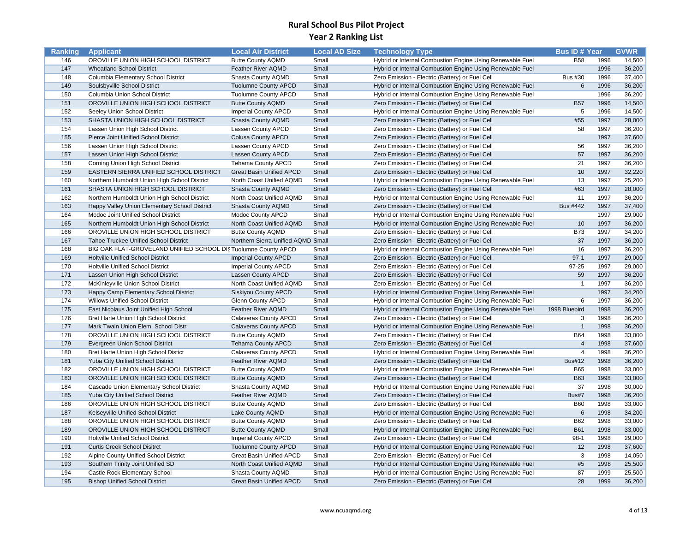| Ranking    | <b>Applicant</b>                                                           | <b>Local Air District</b>                                | <b>Local AD Size</b> | <b>Technology Type</b>                                    | <b>Bus ID# Year</b>           |              | <b>GVWR</b>      |
|------------|----------------------------------------------------------------------------|----------------------------------------------------------|----------------------|-----------------------------------------------------------|-------------------------------|--------------|------------------|
| 146        | OROVILLE UNION HIGH SCHOOL DISTRICT                                        | <b>Butte County AQMD</b>                                 | Small                | Hybrid or Internal Combustion Engine Using Renewable Fuel | <b>B58</b>                    | 1996         | 14,500           |
| 147        | <b>Wheatland School District</b>                                           | Feather River AQMD                                       | Small                | Hybrid or Internal Combustion Engine Using Renewable Fuel |                               | 1996         | 36,200           |
| 148        | Columbia Elementary School District                                        | Shasta County AQMD                                       | Small                | Zero Emission - Electric (Battery) or Fuel Cell           | <b>Bus #30</b>                | 1996         | 37,400           |
| 149        | Soulsbyville School District                                               | <b>Tuolumne County APCD</b>                              | Small                | Hybrid or Internal Combustion Engine Using Renewable Fuel | 6                             | 1996         | 36,200           |
| 150        | Columbia Union School District                                             | <b>Tuolumne County APCD</b>                              | Small                | Hybrid or Internal Combustion Engine Using Renewable Fuel |                               | 1996         | 36,200           |
| 151        | OROVILLE UNION HIGH SCHOOL DISTRICT                                        | <b>Butte County AQMD</b>                                 | Small                | Zero Emission - Electric (Battery) or Fuel Cell           | <b>B57</b>                    | 1996         | 14,500           |
| 152        | Seeley Union School District                                               | <b>Imperial County APCD</b>                              | Small                | Hybrid or Internal Combustion Engine Using Renewable Fuel | 5                             | 1996         | 14,500           |
| 153        | SHASTA UNION HIGH SCHOOL DISTRICT                                          | Shasta County AQMD                                       | Small                | Zero Emission - Electric (Battery) or Fuel Cell           | #55                           | 1997         | 28,000           |
| 154        | Lassen Union High School District                                          | Lassen County APCD                                       | Small                | Zero Emission - Electric (Battery) or Fuel Cell           | 58                            | 1997         | 36,200           |
| 155        | Pierce Joint Unified School District                                       | <b>Colusa County APCD</b>                                | Small                | Zero Emission - Electric (Battery) or Fuel Cell           |                               | 1997         | 37,600           |
| 156        | Lassen Union High School District                                          | Lassen County APCD                                       | Small                | Zero Emission - Electric (Battery) or Fuel Cell           | 56                            | 1997         | 36,200           |
| 157        | Lassen Union High School District                                          | Lassen County APCD                                       | Small                | Zero Emission - Electric (Battery) or Fuel Cell           | 57                            | 1997         | 36,200           |
| 158        | Corning Union High School District                                         | <b>Tehama County APCD</b>                                | Small                | Zero Emission - Electric (Battery) or Fuel Cell           | 21                            | 1997         | 36,200           |
| 159        | EASTERN SIERRA UNIFIED SCHOOL DISTRICT                                     | <b>Great Basin Unified APCD</b>                          | Small                | Zero Emission - Electric (Battery) or Fuel Cell           | 10                            | 1997         | 32,220           |
| 160        | Northern Humboldt Union High School District                               | North Coast Unified AQMD                                 | Small                | Hybrid or Internal Combustion Engine Using Renewable Fuel | 13                            | 1997         | 25,200           |
| 161        | SHASTA UNION HIGH SCHOOL DISTRICT                                          | Shasta County AQMD                                       | Small                | Zero Emission - Electric (Battery) or Fuel Cell           | #63                           | 1997         | 28,000           |
| 162        | Northern Humboldt Union High School District                               | North Coast Unified AQMD                                 | Small                | Hybrid or Internal Combustion Engine Using Renewable Fuel | 11                            | 1997         | 36,200           |
| 163        | Happy Valley Union Elementary School District                              | Shasta County AQMD                                       | Small                | Zero Emission - Electric (Battery) or Fuel Cell           | <b>Bus #442</b>               | 1997         | 37,400           |
| 164        | Modoc Joint Unified School District                                        | Modoc County APCD                                        | Small                | Hybrid or Internal Combustion Engine Using Renewable Fuel |                               | 1997         | 29,000           |
| 165        | Northern Humboldt Union High School District                               | North Coast Unified AQMD                                 | Small                | Hybrid or Internal Combustion Engine Using Renewable Fuel | 10                            | 1997         | 36,200           |
| 166        | OROVILLE UNION HIGH SCHOOL DISTRICT                                        | <b>Butte County AQMD</b>                                 | Small                | Zero Emission - Electric (Battery) or Fuel Cell           | <b>B73</b>                    | 1997         | 34,200           |
| 167        | Tahoe Truckee Unified School District                                      | Northern Sierra Unified AQMD Small                       |                      | Zero Emission - Electric (Battery) or Fuel Cell           | 37                            | 1997         | 36,200           |
| 168        | BIG OAK FLAT-GROVELAND UNIFIED SCHOOL DISTuolumne County APCD              |                                                          | Small                | Hybrid or Internal Combustion Engine Using Renewable Fuel | 16                            | 1997         | 36,200           |
| 169        | <b>Holtville Unified School District</b>                                   | <b>Imperial County APCD</b>                              | Small                | Zero Emission - Electric (Battery) or Fuel Cell           | $97-1$                        | 1997         | 29,000           |
| 170        | <b>Holtville Unified School District</b>                                   | <b>Imperial County APCD</b>                              | Small                | Zero Emission - Electric (Battery) or Fuel Cell           | 97-25                         | 1997         | 29,000           |
| 171        | Lassen Union High School District                                          | Lassen County APCD                                       | Small                | Zero Emission - Electric (Battery) or Fuel Cell           | 59                            | 1997         | 36,200           |
| 172        | McKinleyville Union School District                                        | North Coast Unified AQMD                                 | Small                | Zero Emission - Electric (Battery) or Fuel Cell           | $\overline{1}$                | 1997         | 36,200           |
| 173        | Happy Camp Elementary School District                                      | <b>Siskiyou County APCD</b>                              | Small                | Hybrid or Internal Combustion Engine Using Renewable Fuel |                               | 1997         | 34,200           |
| 174        | <b>Willows Unified School District</b>                                     | <b>Glenn County APCD</b>                                 | Small                | Hybrid or Internal Combustion Engine Using Renewable Fuel | 6                             | 1997         | 36,200           |
| 175        | East Nicolaus Joint Unified High School                                    | Feather River AQMD                                       | Small                | Hybrid or Internal Combustion Engine Using Renewable Fuel | 1998 Bluebird                 | 1998         | 36,200           |
| 176        | Bret Harte Union High School District                                      | Calaveras County APCD                                    | Small                | Zero Emission - Electric (Battery) or Fuel Cell           | 3                             | 1998         | 36,200           |
| 177        |                                                                            |                                                          |                      |                                                           | $\overline{1}$                | 1998         | 36,200           |
| 178        | Mark Twain Union Elem. School Distr<br>OROVILLE UNION HIGH SCHOOL DISTRICT | <b>Calaveras County APCD</b><br><b>Butte County AQMD</b> | Small<br>Small       | Hybrid or Internal Combustion Engine Using Renewable Fuel | <b>B64</b>                    | 1998         | 33,000           |
| 179        |                                                                            |                                                          | Small                | Zero Emission - Electric (Battery) or Fuel Cell           | $\overline{4}$                | 1998         | 37,600           |
|            | Evergreen Union School District                                            | <b>Tehama County APCD</b>                                |                      | Zero Emission - Electric (Battery) or Fuel Cell           | $\overline{4}$                | 1998         |                  |
| 180<br>181 | Bret Harte Union High School Distict                                       | Calaveras County APCD                                    | Small<br>Small       | Hybrid or Internal Combustion Engine Using Renewable Fuel | <b>Bus#12</b>                 | 1998         | 36,200<br>36,200 |
|            | Yuba City Unified School District                                          | Feather River AQMD                                       |                      | Zero Emission - Electric (Battery) or Fuel Cell           |                               |              |                  |
| 182<br>183 | OROVILLE UNION HIGH SCHOOL DISTRICT                                        | <b>Butte County AQMD</b>                                 | Small                | Hybrid or Internal Combustion Engine Using Renewable Fuel | <b>B65</b><br><b>B63</b>      | 1998         | 33,000           |
| 184        | OROVILLE UNION HIGH SCHOOL DISTRICT                                        | <b>Butte County AQMD</b>                                 | Small                | Zero Emission - Electric (Battery) or Fuel Cell           | 37                            | 1998<br>1998 | 33,000<br>30,000 |
|            | Cascade Union Elementary School District                                   | Shasta County AQMD                                       | Small                | Hybrid or Internal Combustion Engine Using Renewable Fuel | Bus#7                         | 1998         |                  |
| 185        | Yuba City Unified School District                                          | Feather River AQMD                                       | Small                | Zero Emission - Electric (Battery) or Fuel Cell           |                               |              | 36,200           |
| 186        | OROVILLE UNION HIGH SCHOOL DISTRICT                                        | <b>Butte County AQMD</b>                                 | Small                | Zero Emission - Electric (Battery) or Fuel Cell           | <b>B60</b>                    | 1998<br>1998 | 33,000           |
| 187        | Kelseyville Unified School District                                        | Lake County AQMD                                         | Small                | Hybrid or Internal Combustion Engine Using Renewable Fuel | $6\phantom{1}6$<br><b>B62</b> | 1998         | 34,200<br>33,000 |
| 188<br>189 | OROVILLE UNION HIGH SCHOOL DISTRICT                                        | <b>Butte County AQMD</b>                                 | Small                | Zero Emission - Electric (Battery) or Fuel Cell           | <b>B61</b>                    | 1998         |                  |
|            | OROVILLE UNION HIGH SCHOOL DISTRICT                                        | <b>Butte County AQMD</b>                                 | Small                | Hybrid or Internal Combustion Engine Using Renewable Fuel |                               |              | 33,000           |
| 190        | <b>Holtville Unified School District</b>                                   | <b>Imperial County APCD</b>                              | Small                | Zero Emission - Electric (Battery) or Fuel Cell           | $98-1$                        | 1998         | 29,000           |
| 191<br>192 | <b>Curtis Creek School Disitrct</b>                                        | <b>Tuolumne County APCD</b>                              | Small<br>Small       | Hybrid or Internal Combustion Engine Using Renewable Fuel | 12<br>3                       | 1998         | 37,600<br>14,050 |
| 193        | Alpine County Unified School District                                      | <b>Great Basin Unified APCD</b>                          |                      | Zero Emission - Electric (Battery) or Fuel Cell           |                               | 1998         |                  |
|            | Southern Trinity Joint Unified SD                                          | North Coast Unified AQMD                                 | Small                | Hybrid or Internal Combustion Engine Using Renewable Fuel | #5                            | 1998<br>1999 | 25,500           |
| 194        | Castle Rock Elementary School                                              | Shasta County AQMD                                       | Small                | Hybrid or Internal Combustion Engine Using Renewable Fuel | 87                            |              | 25,500           |
| 195        | <b>Bishop Unified School District</b>                                      | <b>Great Basin Unified APCD</b>                          | Small                | Zero Emission - Electric (Battery) or Fuel Cell           | 28                            | 1999         | 36,200           |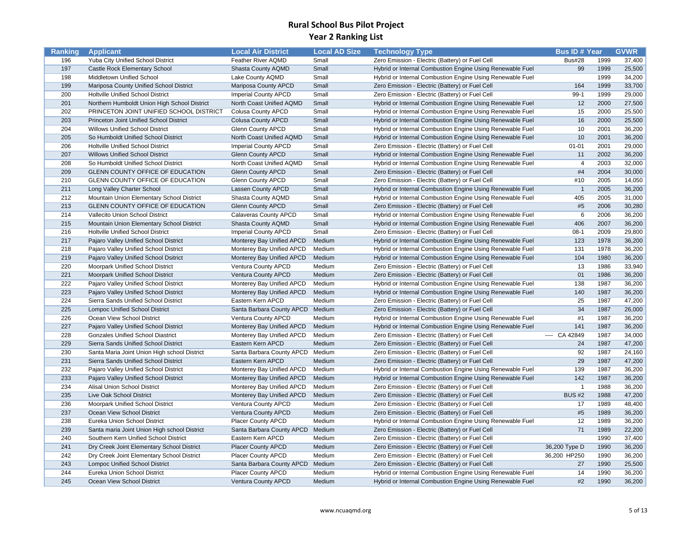| Ranking    | <b>Applicant</b>                                                                  | <b>Local Air District</b>                      | <b>Local AD Size</b> | <b>Technology Type</b>                                    | <b>Bus ID# Year</b>   |              | <b>GVWR</b>      |
|------------|-----------------------------------------------------------------------------------|------------------------------------------------|----------------------|-----------------------------------------------------------|-----------------------|--------------|------------------|
| 196        | Yuba City Unified School District                                                 | Feather River AQMD                             | Small                | Zero Emission - Electric (Battery) or Fuel Cell           | <b>Bus#28</b>         | 1999         | 37,400           |
| 197        | Castle Rock Elementary School                                                     | Shasta County AQMD                             | Small                | Hybrid or Internal Combustion Engine Using Renewable Fuel | 99                    | 1999         | 25,500           |
| 198        | Middletown Unified School                                                         | Lake County AQMD                               | Small                | Hybrid or Internal Combustion Engine Using Renewable Fuel |                       | 1999         | 34,200           |
| 199        | Mariposa County Unified School District                                           | <b>Mariposa County APCD</b>                    | Small                | Zero Emission - Electric (Battery) or Fuel Cell           | 164                   | 1999         | 33,700           |
| 200        | <b>Holtville Unified School District</b>                                          | <b>Imperial County APCD</b>                    | Small                | Zero Emission - Electric (Battery) or Fuel Cell           | $99-1$                | 1999         | 29,000           |
| 201        | Northern Humboldt Union High School District                                      | North Coast Unified AQMD                       | Small                | Hybrid or Internal Combustion Engine Using Renewable Fuel | 12                    | 2000         | 27,500           |
| 202        | PRINCETON JOINT UNIFIED SCHOOL DISTRICT                                           | <b>Colusa County APCD</b>                      | Small                | Hybrid or Internal Combustion Engine Using Renewable Fuel | 15                    | 2000         | 25,500           |
| 203        | Princeton Joint Unified School District                                           | <b>Colusa County APCD</b>                      | Small                | Hybrid or Internal Combustion Engine Using Renewable Fuel | 16                    | 2000         | 25,500           |
| 204        | <b>Willows Unified School District</b>                                            | Glenn County APCD                              | Small                | Hybrid or Internal Combustion Engine Using Renewable Fuel | 10                    | 2001         | 36,200           |
| 205        | So Humboldt Unified School District                                               | North Coast Unified AQMD                       | Small                | Hybrid or Internal Combustion Engine Using Renewable Fuel | 10                    | 2001         | 36,200           |
| 206        | <b>Holtville Unified School District</b>                                          | <b>Imperial County APCD</b>                    | Small                | Zero Emission - Electric (Battery) or Fuel Cell           | $01 - 01$             | 2001         | 29,000           |
| 207        | <b>Willows Unified School District</b>                                            | <b>Glenn County APCD</b>                       | Small                | Hybrid or Internal Combustion Engine Using Renewable Fuel | 11                    | 2002         | 36,200           |
| 208        | So Humboldt Unified School District                                               | North Coast Unified AQMD                       | Small                | Hybrid or Internal Combustion Engine Using Renewable Fuel | $\overline{4}$        | 2003         | 32,000           |
| 209        | <b>GLENN COUNTY OFFICE OF EDUCATION</b>                                           | <b>Glenn County APCD</b>                       | Small                | Zero Emission - Electric (Battery) or Fuel Cell           | #4                    | 2004         | 30,000           |
| 210        | <b>GLENN COUNTY OFFICE OF EDUCATION</b>                                           | <b>Glenn County APCD</b>                       | Small                | Zero Emission - Electric (Battery) or Fuel Cell           | #10                   | 2005         | 14,050           |
| 211        | Long Valley Charter School                                                        | Lassen County APCD                             | Small                | Hybrid or Internal Combustion Engine Using Renewable Fuel | $\overline{1}$        | 2005         | 36,200           |
| 212        | Mountain Union Elementary School District                                         | Shasta County AQMD                             | Small                | Hybrid or Internal Combustion Engine Using Renewable Fuel | 405                   | 2005         | 31,000           |
| 213        | <b>GLENN COUNTY OFFICE OF EDUCATION</b>                                           | <b>Glenn County APCD</b>                       | Small                | Zero Emission - Electric (Battery) or Fuel Cell           | #5                    | 2006         | 30,280           |
| 214        | Vallecito Union School District                                                   | Calaveras County APCD                          | Small                | Hybrid or Internal Combustion Engine Using Renewable Fuel | 6                     | 2006         | 36,200           |
| 215        | Mountain Union Elementary School District                                         | Shasta County AQMD                             | Small                | Hybrid or Internal Combustion Engine Using Renewable Fuel | 406                   | 2007         | 36,200           |
| 216        | Holtville Unified School District                                                 | <b>Imperial County APCD</b>                    | Small                | Zero Emission - Electric (Battery) or Fuel Cell           | $08-1$                | 2009         | 29,800           |
| 217        | Pajaro Valley Unified School District                                             | Monterey Bay Unified APCD                      | Medium               | Hybrid or Internal Combustion Engine Using Renewable Fuel | 123                   | 1978         | 36,200           |
| 218        | Pajaro Valley Unified School District                                             | Monterey Bay Unified APCD                      | Medium               | Hybrid or Internal Combustion Engine Using Renewable Fuel | 131                   | 1978         | 36,200           |
| 219        | Pajaro Valley Unified School Dsitrict                                             | Monterey Bay Unified APCD                      | Medium               | Hybrid or Internal Combustion Engine Using Renewable Fuel | 104                   | 1980         | 36,200           |
| 220        | Moorpark Unified School District                                                  | Ventura County APCD                            | Medium               | Zero Emission - Electric (Battery) or Fuel Cell           | 13                    | 1986         | 33,940           |
| 221        | Moorpark Unified School District                                                  | Ventura County APCD                            | Medium               | Zero Emission - Electric (Battery) or Fuel Cell           | 01                    | 1986         | 36,200           |
| 222        | Pajaro Valley Unified School District                                             | Monterey Bay Unified APCD                      | Medium               | Hybrid or Internal Combustion Engine Using Renewable Fuel | 138                   | 1987         | 36,200           |
| 223        | Pajaro Valley Unified School District                                             | Monterey Bay Unified APCD                      | Medium               | Hybrid or Internal Combustion Engine Using Renewable Fuel | 140                   | 1987         | 36,200           |
| 224        | Sierra Sands Unified School District                                              | Eastern Kern APCD                              | Medium               | Zero Emission - Electric (Battery) or Fuel Cell           | 25                    | 1987         | 47,200           |
| 225        | <b>Lompoc Unified School District</b>                                             | Santa Barbara County APCD                      | Medium               | Zero Emission - Electric (Battery) or Fuel Cell           | 34                    | 1987         | 26,000           |
| 226        | Ocean View School District                                                        | Ventura County APCD                            | Medium               | Hybrid or Internal Combustion Engine Using Renewable Fuel | #1                    | 1987         | 36,200           |
| 227        |                                                                                   |                                                | Medium               |                                                           | 141                   | 1987         | 36,200           |
| 228        | Pajaro Valley Unified School District<br><b>Gonzales Unified School Diastrict</b> | Monterey Bay Unified APCD                      | Medium               | Hybrid or Internal Combustion Engine Using Renewable Fuel | ---- CA 42849         | 1987         | 34,000           |
| 229        |                                                                                   | Monterey Bay Unified APCD<br>Eastern Kern APCD |                      | Zero Emission - Electric (Battery) or Fuel Cell           | 24                    | 1987         | 47,200           |
| 230        | Sierra Sands Unified School District                                              | Santa Barbara County APCD                      | Medium<br>Medium     | Zero Emission - Electric (Battery) or Fuel Cell           | 92                    | 1987         | 24,160           |
| 231        | Santa Maria Joint Union High school District                                      |                                                | Medium               | Zero Emission - Electric (Battery) or Fuel Cell           | 29                    | 1987         | 47,200           |
| 232        | Sierra Sands Unified School District                                              | Eastern Kern APCD                              |                      | Zero Emission - Electric (Battery) or Fuel Cell           |                       | 1987         |                  |
|            | Pajaro Valley Unified School District                                             | Monterey Bay Unified APCD                      | Medium               | Hybrid or Internal Combustion Engine Using Renewable Fuel | 139                   |              | 36,200           |
| 233<br>234 | Pajaro Valley Unified School District<br>Alisal Union School District             | Monterey Bay Unified APCD                      | Medium<br>Medium     | Hybrid or Internal Combustion Engine Using Renewable Fuel | 142<br>$\overline{1}$ | 1987<br>1988 | 36,200<br>36,200 |
|            |                                                                                   | Monterey Bay Unified APCD                      |                      | Zero Emission - Electric (Battery) or Fuel Cell           | <b>BUS #2</b>         | 1988         |                  |
| 235        | Live Oak School District                                                          | Monterey Bay Unified APCD                      | Medium               | Zero Emission - Electric (Battery) or Fuel Cell           |                       |              | 47,200           |
| 236        | Moorpark Unified School District                                                  | Ventura County APCD                            | Medium               | Zero Emission - Electric (Battery) or Fuel Cell           | 17<br>#5              | 1989         | 48,400           |
| 237        | Ocean View School District                                                        | Ventura County APCD                            | Medium               | Zero Emission - Electric (Battery) or Fuel Cell           |                       | 1989         | 36,200           |
| 238        | Eureka Union School District                                                      | <b>Placer County APCD</b>                      | Medium               | Hybrid or Internal Combustion Engine Using Renewable Fuel | 12                    | 1989         | 36,200           |
| 239        | Santa maria Joint Union High school District                                      | Santa Barbara County APCD Medium               |                      | Zero Emission - Electric (Battery) or Fuel Cell           | 71                    | 1989         | 22,200           |
| 240        | Southern Kern Unified School District                                             | Eastern Kern APCD                              | Medium               | Zero Emission - Electric (Battery) or Fuel Cell           |                       | 1990         | 37,400           |
| 241        | Dry Creek Joint Elementary School District                                        | Placer County APCD                             | Medium               | Zero Emission - Electric (Battery) or Fuel Cell           | 36,200 Type D         | 1990         | 36,200           |
| 242        | Dry Creek Joint Elementary School District                                        | Placer County APCD                             | Medium               | Zero Emission - Electric (Battery) or Fuel Cell           | 36,200 HP250          | 1990         | 36,200           |
| 243        | <b>Lompoc Unified School District</b>                                             | Santa Barbara County APCD Medium               |                      | Zero Emission - Electric (Battery) or Fuel Cell           | 27                    | 1990         | 25,500           |
| 244        | Eureka Union School District                                                      | <b>Placer County APCD</b>                      | Medium               | Hybrid or Internal Combustion Engine Using Renewable Fuel | 14                    | 1990         | 36,200           |
| 245        | Ocean View School District                                                        | Ventura County APCD                            | Medium               | Hybrid or Internal Combustion Engine Using Renewable Fuel | #2                    | 1990         | 36,200           |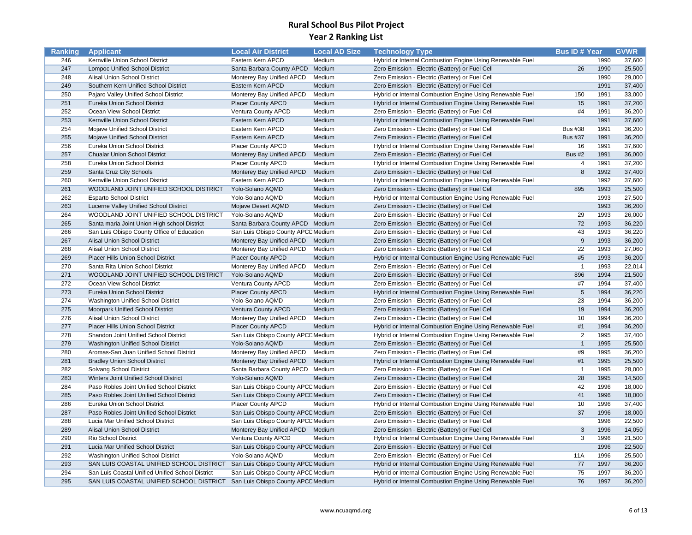| Ranking    | <b>Applicant</b>                                                            | <b>Local Air District</b>                              | <b>Local AD Size</b> | <b>Technology Type</b>                                    | <b>Bus ID# Year</b> |              | <b>GVWR</b>      |
|------------|-----------------------------------------------------------------------------|--------------------------------------------------------|----------------------|-----------------------------------------------------------|---------------------|--------------|------------------|
| 246        | Kernville Union School District                                             | Eastern Kern APCD                                      | Medium               | Hybrid or Internal Combustion Engine Using Renewable Fuel |                     | 1990         | 37,600           |
| 247        | <b>Lompoc Unified School District</b>                                       | Santa Barbara County APCD                              | Medium               | Zero Emission - Electric (Battery) or Fuel Cell           | 26                  | 1990         | 25,500           |
| 248        | Alisal Union School District                                                | Monterey Bay Unified APCD                              | Medium               | Zero Emission - Electric (Battery) or Fuel Cell           |                     | 1990         | 29,000           |
| 249        | Southern Kern Unified School District                                       | Eastern Kern APCD                                      | Medium               | Zero Emission - Electric (Battery) or Fuel Cell           |                     | 1991         | 37,400           |
| 250        | Pajaro Valley Unified School District                                       | Monterey Bay Unified APCD                              | Medium               | Hybrid or Internal Combustion Engine Using Renewable Fuel | 150                 | 1991         | 33,000           |
| 251        | Eureka Union School District                                                | Placer County APCD                                     | Medium               | Hybrid or Internal Combustion Engine Using Renewable Fuel | 15                  | 1991         | 37,200           |
| 252        | Ocean View School District                                                  | Ventura County APCD                                    | Medium               | Zero Emission - Electric (Battery) or Fuel Cell           | #4                  | 1991         | 36,200           |
| 253        | Kernville Union School District                                             | Eastern Kern APCD                                      | Medium               | Hybrid or Internal Combustion Engine Using Renewable Fuel |                     | 1991         | 37,600           |
| 254        | Mojave Unified School District                                              | Eastern Kern APCD                                      | Medium               | Zero Emission - Electric (Battery) or Fuel Cell           | <b>Bus #38</b>      | 1991         | 36,200           |
| 255        | Mojave Unified School District                                              | Eastern Kern APCD                                      | Medium               | Zero Emission - Electric (Battery) or Fuel Cell           | <b>Bus #37</b>      | 1991         | 36,200           |
| 256        | Eureka Union School District                                                | Placer County APCD                                     | Medium               | Hybrid or Internal Combustion Engine Using Renewable Fuel | 16                  | 1991         | 37,600           |
| 257        | <b>Chualar Union School District</b>                                        | Monterey Bay Unified APCD                              | Medium               | Zero Emission - Electric (Battery) or Fuel Cell           | <b>Bus #2</b>       | 1991         | 36,000           |
| 258        | Eureka Union School District                                                | Placer County APCD                                     | Medium               | Hybrid or Internal Combustion Engine Using Renewable Fuel | $\overline{4}$      | 1991         | 37,200           |
| 259        | Santa Cruz City Schools                                                     | Monterey Bay Unified APCD                              | Medium               | Zero Emission - Electric (Battery) or Fuel Cell           | 8                   | 1992         | 37,400           |
| 260        | Kernville Union School District                                             | Eastern Kern APCD                                      | Medium               | Hybrid or Internal Combustion Engine Using Renewable Fuel |                     | 1992         | 37,600           |
| 261        | WOODLAND JOINT UNIFIED SCHOOL DISTRICT                                      | Yolo-Solano AQMD                                       | Medium               | Zero Emission - Electric (Battery) or Fuel Cell           | 895                 | 1993         | 25,500           |
| 262        | <b>Esparto School District</b>                                              | Yolo-Solano AQMD                                       | Medium               | Hybrid or Internal Combustion Engine Using Renewable Fuel |                     | 1993         | 27,500           |
| 263        | Lucerne Valley Unified School District                                      | Mojave Desert AQMD                                     | Medium               | Zero Emission - Electric (Battery) or Fuel Cell           |                     | 1993         | 36,200           |
| 264        | WOODLAND JOINT UNIFIED SCHOOL DISTRICT                                      | Yolo-Solano AQMD                                       | Medium               | Zero Emission - Electric (Battery) or Fuel Cell           | 29                  | 1993         | 26,000           |
| 265        | Santa maria Joint Union High school District                                | Santa Barbara County APCD Medium                       |                      | Zero Emission - Electric (Battery) or Fuel Cell           | 72                  | 1993         | 36,220           |
| 266        | San Luis Obispo County Office of Education                                  | San Luis Obispo County APCC Medium                     |                      | Zero Emission - Electric (Battery) or Fuel Cell           | 43                  | 1993         | 36,220           |
| 267        | Alisal Union School District                                                | Monterey Bay Unified APCD                              | Medium               | Zero Emission - Electric (Battery) or Fuel Cell           | 9                   | 1993         | 36,200           |
| 268        | Alisal Union School District                                                | Monterey Bay Unified APCD                              | Medium               | Zero Emission - Electric (Battery) or Fuel Cell           | 22                  | 1993         | 27,060           |
| 269        | Placer Hills Union School District                                          | <b>Placer County APCD</b>                              | Medium               | Hybrid or Internal Combustion Engine Using Renewable Fuel | #5                  | 1993         | 36,200           |
| 270        | Santa Rita Union School District                                            | Monterey Bay Unified APCD                              | Medium               | Zero Emission - Electric (Battery) or Fuel Cell           | $\overline{1}$      | 1993         | 22,014           |
| 271        | WOODLAND JOINT UNIFIED SCHOOL DISTRICT                                      | Yolo-Solano AQMD                                       | Medium               | Zero Emission - Electric (Battery) or Fuel Cell           | 896                 | 1994         | 21,500           |
| 272        | Ocean View School District                                                  | Ventura County APCD                                    | Medium               | Zero Emission - Electric (Battery) or Fuel Cell           | #7                  | 1994         | 37,400           |
| 273        | Eureka Union School District                                                | <b>Placer County APCD</b>                              | Medium               | Hybrid or Internal Combustion Engine Using Renewable Fuel | 5                   | 1994         | 36,220           |
| 274        | Washington Unified School District                                          | Yolo-Solano AQMD                                       | Medium               | Zero Emission - Electric (Battery) or Fuel Cell           | 23                  | 1994         | 36,200           |
| 275        | Moorpark Unified School District                                            | Ventura County APCD                                    | Medium               | Zero Emission - Electric (Battery) or Fuel Cell           | 19                  | 1994         | 36,200           |
| 276        | Alisal Union School District                                                | Monterey Bay Unified APCD                              | Medium               | Zero Emission - Electric (Battery) or Fuel Cell           | 10                  | 1994         | 36,200           |
| 277        |                                                                             | Placer County APCD                                     | Medium               |                                                           | #1                  | 1994         | 36,200           |
| 278        | Placer Hills Union School District                                          |                                                        |                      | Hybrid or Internal Combustion Engine Using Renewable Fuel | $\overline{2}$      |              |                  |
| 279        | Shandon Joint Unified School District                                       | San Luis Obispo County APCC Medium<br>Yolo-Solano AQMD |                      | Hybrid or Internal Combustion Engine Using Renewable Fuel | $\overline{1}$      | 1995<br>1995 | 37,400<br>25,500 |
|            | <b>Washington Unified School District</b>                                   |                                                        | Medium               | Zero Emission - Electric (Battery) or Fuel Cell           | #9                  | 1995         | 36,200           |
| 280<br>281 | Aromas-San Juan Unified School District                                     | Monterey Bay Unified APCD                              | Medium<br>Medium     | Zero Emission - Electric (Battery) or Fuel Cell           | #1                  | 1995         | 25,500           |
| 282        | <b>Bradley Union School District</b>                                        | Monterey Bay Unified APCD                              |                      | Hybrid or Internal Combustion Engine Using Renewable Fuel | $\overline{1}$      |              |                  |
|            | Solvang School District                                                     | Santa Barbara County APCD Medium                       |                      | Zero Emission - Electric (Battery) or Fuel Cell           |                     | 1995         | 28,000           |
| 283        | Winters Joint Unified School District                                       | Yolo-Solano AQMD                                       | Medium               | Zero Emission - Electric (Battery) or Fuel Cell           | 28                  | 1995<br>1996 | 14,500           |
| 284        | Paso Robles Joint Unified School District                                   | San Luis Obispo County APCC Medium                     |                      | Zero Emission - Electric (Battery) or Fuel Cell           | 42                  |              | 18,000           |
| 285        | Paso Robles Joint Unified School District                                   | San Luis Obispo County APCC Medium                     |                      | Zero Emission - Electric (Battery) or Fuel Cell           | 41                  | 1996         | 18,000           |
| 286        | Eureka Union School District                                                | Placer County APCD                                     | Medium               | Hybrid or Internal Combustion Engine Using Renewable Fuel | 10                  | 1996         | 37,400           |
| 287        | Paso Robles Joint Unified School District                                   | San Luis Obispo County APCC Medium                     |                      | Zero Emission - Electric (Battery) or Fuel Cell           | 37                  | 1996         | 18,000           |
| 288        | Lucia Mar Unified School District                                           | San Luis Obispo County APCC Medium                     |                      | Zero Emission - Electric (Battery) or Fuel Cell           |                     | 1996         | 22,500           |
| 289        | Alisal Union School District                                                | Monterey Bay Unified APCD Medium                       |                      | Zero Emission - Electric (Battery) or Fuel Cell           | 3                   | 1996         | 14,050           |
| 290        | Rio School District                                                         | Ventura County APCD                                    | Medium               | Hybrid or Internal Combustion Engine Using Renewable Fuel | 3                   | 1996         | 21,500           |
| 291        | Lucia Mar Unified School District                                           | San Luis Obispo County APCC Medium                     |                      | Zero Emission - Electric (Battery) or Fuel Cell           |                     | 1996         | 22,500           |
| 292        | Washington Unified School District                                          | Yolo-Solano AQMD                                       | Medium               | Zero Emission - Electric (Battery) or Fuel Cell           | 11A                 | 1996         | 25,500           |
| 293        | SAN LUIS COASTAL UNIFIED SCHOOL DISTRICT San Luis Obispo County APCE Medium |                                                        |                      | Hybrid or Internal Combustion Engine Using Renewable Fuel | 77                  | 1997         | 36,200           |
| 294        | San Luis Coastal Unified Unified School District                            | San Luis Obispo County APCC Medium                     |                      | Hybrid or Internal Combustion Engine Using Renewable Fuel | 75                  | 1997         | 36,200           |
| 295        | SAN LUIS COASTAL UNIFIED SCHOOL DISTRICT San Luis Obispo County APCC Medium |                                                        |                      | Hybrid or Internal Combustion Engine Using Renewable Fuel | 76                  | 1997         | 36,200           |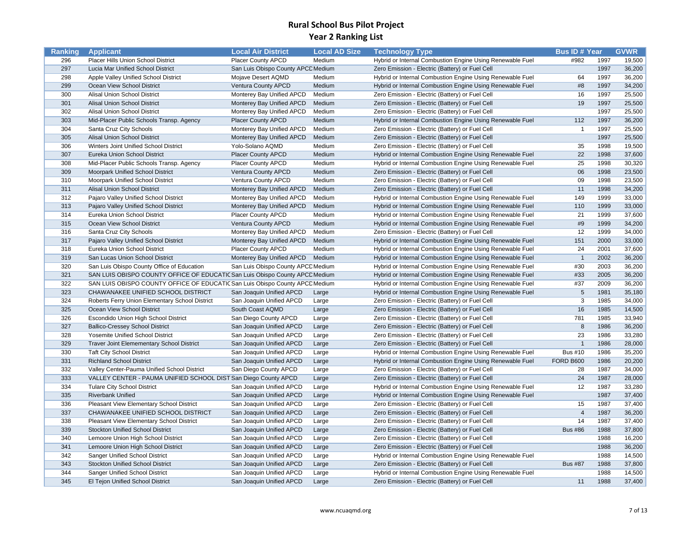| Ranking | <b>Applicant</b>                                                             | <b>Local Air District</b>          | <b>Local AD Size</b> | <b>Technology Type</b>                                    | <b>Bus ID# Year</b> |      | <b>GVWR</b> |
|---------|------------------------------------------------------------------------------|------------------------------------|----------------------|-----------------------------------------------------------|---------------------|------|-------------|
| 296     | Placer Hills Union School District                                           | Placer County APCD                 | Medium               | Hybrid or Internal Combustion Engine Using Renewable Fuel | #982                | 1997 | 19,500      |
| 297     | Lucia Mar Unified School District                                            | San Luis Obispo County APCC Medium |                      | Zero Emission - Electric (Battery) or Fuel Cell           |                     | 1997 | 36,200      |
| 298     | Apple Valley Unified School District                                         | Mojave Desert AQMD                 | Medium               | Hybrid or Internal Combustion Engine Using Renewable Fuel | 64                  | 1997 | 36,200      |
| 299     | Ocean View School District                                                   | Ventura County APCD                | Medium               | Hybrid or Internal Combustion Engine Using Renewable Fuel | #8                  | 1997 | 34,200      |
| 300     | <b>Alisal Union School District</b>                                          | Monterey Bay Unified APCD          | Medium               | Zero Emission - Electric (Battery) or Fuel Cell           | 16                  | 1997 | 25,500      |
| 301     | Alisal Union School District                                                 | Monterey Bay Unified APCD          | Medium               | Zero Emission - Electric (Battery) or Fuel Cell           | 19                  | 1997 | 25,500      |
| 302     | Alisal Union School District                                                 | Monterey Bay Unified APCD          | Medium               | Zero Emission - Electric (Battery) or Fuel Cell           |                     | 1997 | 25,500      |
| 303     | Mid-Placer Public Schools Transp. Agency                                     | <b>Placer County APCD</b>          | Medium               | Hybrid or Internal Combustion Engine Using Renewable Fuel | 112                 | 1997 | 36,200      |
| 304     | Santa Cruz City Schools                                                      | Monterey Bay Unified APCD          | Medium               | Zero Emission - Electric (Battery) or Fuel Cell           | $\overline{1}$      | 1997 | 25,500      |
| 305     | Alisal Union School District                                                 | Monterey Bay Unified APCD          | Medium               | Zero Emission - Electric (Battery) or Fuel Cell           |                     | 1997 | 25,500      |
| 306     | Winters Joint Unified School District                                        | Yolo-Solano AQMD                   | Medium               | Zero Emission - Electric (Battery) or Fuel Cell           | 35                  | 1998 | 19,500      |
| 307     | Eureka Union School District                                                 | <b>Placer County APCD</b>          | Medium               | Hybrid or Internal Combustion Engine Using Renewable Fuel | 22                  | 1998 | 37,600      |
| 308     | Mid-Placer Public Schools Transp. Agency                                     | <b>Placer County APCD</b>          | Medium               | Hybrid or Internal Combustion Engine Using Renewable Fuel | 25                  | 1998 | 30,320      |
| 309     | Moorpark Unified School District                                             | Ventura County APCD                | Medium               | Zero Emission - Electric (Battery) or Fuel Cell           | 06                  | 1998 | 23,500      |
| 310     | Moorpark Unified School District                                             | Ventura County APCD                | Medium               | Zero Emission - Electric (Battery) or Fuel Cell           | 09                  | 1998 | 23,500      |
| 311     | Alisal Union School District                                                 | Monterey Bay Unified APCD          | Medium               | Zero Emission - Electric (Battery) or Fuel Cell           | 11                  | 1998 | 34,200      |
| 312     | Pajaro Valley Unified School District                                        | Monterey Bay Unified APCD          | Medium               | Hybrid or Internal Combustion Engine Using Renewable Fuel | 149                 | 1999 | 33,000      |
| 313     | Pajaro Valley Unified School District                                        | Monterey Bay Unified APCD          | Medium               | Hybrid or Internal Combustion Engine Using Renewable Fuel | 110                 | 1999 | 33,000      |
| 314     | Eureka Union School District                                                 | Placer County APCD                 | Medium               | Hybrid or Internal Combustion Engine Using Renewable Fuel | 21                  | 1999 | 37,600      |
| 315     | Ocean View School District                                                   | Ventura County APCD                | Medium               | Hybrid or Internal Combustion Engine Using Renewable Fuel | #9                  | 1999 | 34,200      |
| 316     | Santa Cruz City Schools                                                      | Monterey Bay Unified APCD          | Medium               | Zero Emission - Electric (Battery) or Fuel Cell           | 12                  | 1999 | 34,000      |
| 317     | Pajaro Valley Unified School District                                        | Monterey Bay Unified APCD          | Medium               | Hybrid or Internal Combustion Engine Using Renewable Fuel | 151                 | 2000 | 33,000      |
| 318     | Eureka Union School District                                                 | Placer County APCD                 | Medium               | Hybrid or Internal Combustion Engine Using Renewable Fuel | 24                  | 2001 | 37,600      |
| 319     | San Lucas Union School District                                              | Monterey Bay Unified APCD          | Medium               | Hybrid or Internal Combustion Engine Using Renewable Fuel | $\overline{1}$      | 2002 | 36,200      |
| 320     | San Luis Obispo County Office of Education                                   | San Luis Obispo County APCC Medium |                      | Hybrid or Internal Combustion Engine Using Renewable Fuel | #30                 | 2003 | 36,200      |
| 321     | SAN LUIS OBISPO COUNTY OFFICE OF EDUCATIC San Luis Obispo County APCC Medium |                                    |                      | Hybrid or Internal Combustion Engine Using Renewable Fuel | #33                 | 2005 | 36,200      |
| 322     | SAN LUIS OBISPO COUNTY OFFICE OF EDUCATIC San Luis Obispo County APCC Medium |                                    |                      | Hybrid or Internal Combustion Engine Using Renewable Fuel | #37                 | 2009 | 36,200      |
| 323     | CHAWANAKEE UNIFIED SCHOOL DISTRICT                                           | San Joaquin Unified APCD           | Large                | Hybrid or Internal Combustion Engine Using Renewable Fuel | $\sqrt{5}$          | 1981 | 35,180      |
| 324     | Roberts Ferry Union Elementary School District                               | San Joaquin Unified APCD           | Large                | Zero Emission - Electric (Battery) or Fuel Cell           | 3                   | 1985 | 34,000      |
| 325     | Ocean View School District                                                   | South Coast AQMD                   | Large                | Zero Emission - Electric (Battery) or Fuel Cell           | 16                  | 1985 | 14,500      |
| 326     | Escondido Union High School District                                         | San Diego County APCD              | Large                | Zero Emission - Electric (Battery) or Fuel Cell           | 781                 | 1985 | 33,940      |
| 327     | <b>Ballico-Cressey School District</b>                                       | San Joaquin Unified APCD           | Large                | Zero Emission - Electric (Battery) or Fuel Cell           | 8                   | 1986 | 36,200      |
| 328     | Yosemite Unified School District                                             | San Joaquin Unified APCD           | Large                | Zero Emission - Electric (Battery) or Fuel Cell           | 23                  | 1986 | 33,280      |
| 329     | <b>Traver Joint Elemementary School District</b>                             | San Joaquin Unified APCD           | Large                | Zero Emission - Electric (Battery) or Fuel Cell           | $\overline{1}$      | 1986 | 28,000      |
| 330     | <b>Taft City School District</b>                                             | San Joaquin Unified APCD           | Large                | Hybrid or Internal Combustion Engine Using Renewable Fuel | <b>Bus #10</b>      | 1986 | 35,200      |
| 331     | <b>Richland School District</b>                                              | San Joaquin Unified APCD           | Large                | Hybrid or Internal Combustion Engine Using Renewable Fuel | <b>FORD B600</b>    | 1986 | 20,200      |
| 332     | Valley Center-Pauma Unified School District                                  | San Diego County APCD              | Large                | Zero Emission - Electric (Battery) or Fuel Cell           | 28                  | 1987 | 34,000      |
| 333     | VALLEY CENTER - PAUMA UNIFIED SCHOOL DIST San Diego County APCD              |                                    | Large                | Zero Emission - Electric (Battery) or Fuel Cell           | 24                  | 1987 | 28,000      |
| 334     | <b>Tulare City School District</b>                                           | San Joaquin Unified APCD           | Large                | Hybrid or Internal Combustion Engine Using Renewable Fuel | 12                  | 1987 | 33,280      |
| 335     | <b>Riverbank Unified</b>                                                     | San Joaquin Unified APCD           | Large                | Hybrid or Internal Combustion Engine Using Renewable Fuel |                     | 1987 | 37,400      |
| 336     | Pleasant View Elementary School District                                     | San Joaquin Unified APCD           | Large                | Zero Emission - Electric (Battery) or Fuel Cell           | 15                  | 1987 | 37,400      |
| 337     | CHAWANAKEE UNIFIED SCHOOL DISTRICT                                           | San Joaquin Unified APCD           | Large                | Zero Emission - Electric (Battery) or Fuel Cell           | $\overline{4}$      | 1987 | 36,200      |
| 338     | Pleasant View Elementary School District                                     | San Joaquin Unified APCD           | Large                | Zero Emission - Electric (Battery) or Fuel Cell           | 14                  | 1987 | 37,400      |
| 339     | <b>Stockton Unified School District</b>                                      | San Joaquin Unified APCD           | Large                | Zero Emission - Electric (Battery) or Fuel Cell           | <b>Bus #86</b>      | 1988 | 37,800      |
| 340     | Lemoore Union High School District                                           | San Joaquin Unified APCD           | Large                | Zero Emission - Electric (Battery) or Fuel Cell           |                     | 1988 | 16,200      |
| 341     | Lemoore Union High School District                                           | San Joaquin Unified APCD           | Large                | Zero Emission - Electric (Battery) or Fuel Cell           |                     | 1988 | 36,200      |
| 342     | Sanger Unified School District                                               | San Joaquin Unified APCD           | Large                | Hybrid or Internal Combustion Engine Using Renewable Fuel |                     | 1988 | 14,500      |
| 343     | <b>Stockton Unified School District</b>                                      | San Joaquin Unified APCD           | Large                | Zero Emission - Electric (Battery) or Fuel Cell           | <b>Bus #87</b>      | 1988 | 37,800      |
| 344     | Sanger Unified School District                                               | San Joaquin Unified APCD           | Large                | Hybrid or Internal Combustion Engine Using Renewable Fuel |                     | 1988 | 14,500      |
| 345     | El Tejon Unified School District                                             | San Joaquin Unified APCD           | Large                | Zero Emission - Electric (Battery) or Fuel Cell           | 11                  | 1988 | 37,400      |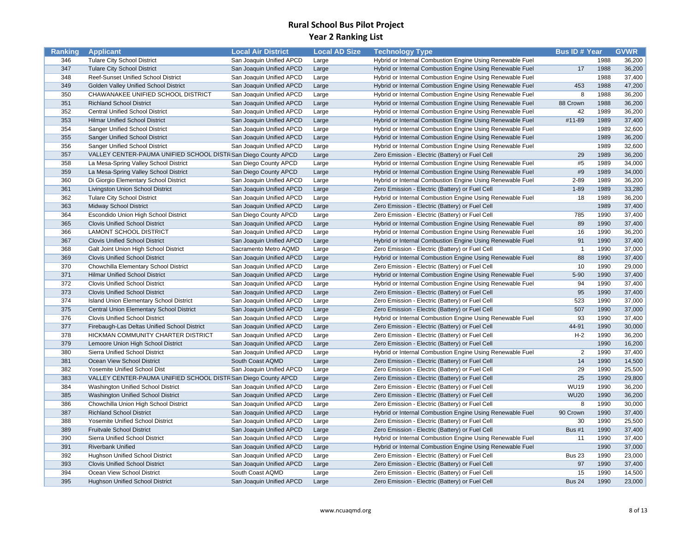| Ranking    | <b>Applicant</b>                                               | <b>Local Air District</b> | <b>Local AD Size</b> | <b>Technology Type</b>                                    | <b>Bus ID# Year</b> |      | <b>GVWR</b>      |
|------------|----------------------------------------------------------------|---------------------------|----------------------|-----------------------------------------------------------|---------------------|------|------------------|
| 346        | <b>Tulare City School District</b>                             | San Joaquin Unified APCD  | Large                | Hybrid or Internal Combustion Engine Using Renewable Fuel |                     | 1988 | 36,200           |
| 347        | <b>Tulare City School District</b>                             | San Joaquin Unified APCD  | Large                | Hybrid or Internal Combustion Engine Using Renewable Fuel | 17                  | 1988 | 36,200           |
| 348        | Reef-Sunset Unified School District                            | San Joaquin Unified APCD  | Large                | Hybrid or Internal Combustion Engine Using Renewable Fuel |                     | 1988 | 37,400           |
| 349        | Golden Valley Unified School District                          | San Joaquin Unified APCD  | Large                | Hybrid or Internal Combustion Engine Using Renewable Fuel | 453                 | 1988 | 47,200           |
| 350        | CHAWANAKEE UNIFIED SCHOOL DISTRICT                             | San Joaquin Unified APCD  | Large                | Hybrid or Internal Combustion Engine Using Renewable Fuel | $\overline{8}$      | 1988 | 36,200           |
| 351        | <b>Richland School District</b>                                | San Joaquin Unified APCD  | Large                | Hybrid or Internal Combustion Engine Using Renewable Fuel | 88 Crown            | 1988 | 36,200           |
| 352        | <b>Central Unified School District</b>                         | San Joaquin Unified APCD  | Large                | Hybrid or Internal Combustion Engine Using Renewable Fuel | 42                  | 1989 | 36,200           |
| 353        | <b>Hilmar Unified School District</b>                          | San Joaquin Unified APCD  | Large                | Hybrid or Internal Combustion Engine Using Renewable Fuel | #11-89              | 1989 | 37,400           |
| 354        | Sanger Unified School District                                 | San Joaquin Unified APCD  | Large                | Hybrid or Internal Combustion Engine Using Renewable Fuel |                     | 1989 | 32,600           |
| 355        | Sanger Unified School District                                 | San Joaquin Unified APCD  | Large                | Hybrid or Internal Combustion Engine Using Renewable Fuel |                     | 1989 | 36,200           |
| 356        | Sanger Unified School District                                 | San Joaquin Unified APCD  | Large                | Hybrid or Internal Combustion Engine Using Renewable Fuel |                     | 1989 | 32,600           |
| 357        | VALLEY CENTER-PAUMA UNIFIED SCHOOL DISTR San Diego County APCD |                           | Large                | Zero Emission - Electric (Battery) or Fuel Cell           | 29                  | 1989 | 36,200           |
| 358        | La Mesa-Spring Valley School District                          | San Diego County APCD     | Large                | Hybrid or Internal Combustion Engine Using Renewable Fuel | #5                  | 1989 | 34,000           |
| 359        | La Mesa-Spring Valley School District                          | San Diego County APCD     | Large                | Hybrid or Internal Combustion Engine Using Renewable Fuel | #9                  | 1989 | 34,000           |
| 360        | Di Giorgio Elementary School District                          | San Joaquin Unified APCD  | Large                | Hybrid or Internal Combustion Engine Using Renewable Fuel | $2 - 89$            | 1989 | 36,200           |
| 361        | Livingston Union School District                               | San Joaquin Unified APCD  | Large                | Zero Emission - Electric (Battery) or Fuel Cell           | $1 - 89$            | 1989 | 33,280           |
| 362        | <b>Tulare City School District</b>                             | San Joaquin Unified APCD  | Large                | Hybrid or Internal Combustion Engine Using Renewable Fuel | 18                  | 1989 | 36,200           |
| 363        | <b>Midway School District</b>                                  | San Joaquin Unified APCD  | Large                | Zero Emission - Electric (Battery) or Fuel Cell           |                     | 1989 | 37,400           |
| 364        | <b>Escondido Union High School District</b>                    | San Diego County APCD     | Large                | Zero Emission - Electric (Battery) or Fuel Cell           | 785                 | 1990 | 37,400           |
| 365        | <b>Clovis Unified School District</b>                          | San Joaquin Unified APCD  | Large                | Hybrid or Internal Combustion Engine Using Renewable Fuel | 89                  | 1990 | 37,400           |
| 366        | <b>LAMONT SCHOOL DISTRICT</b>                                  | San Joaquin Unified APCD  | Large                | Hybrid or Internal Combustion Engine Using Renewable Fuel | 16                  | 1990 | 36,200           |
| 367        | <b>Clovis Unified School District</b>                          | San Joaquin Unified APCD  | Large                | Hybrid or Internal Combustion Engine Using Renewable Fuel | 91                  | 1990 | 37,400           |
| 368        | Galt Joint Union High School District                          | Sacramento Metro AQMD     | Large                | Zero Emission - Electric (Battery) or Fuel Cell           | $\overline{1}$      | 1990 | 37,000           |
| 369        | <b>Clovis Unified School District</b>                          | San Joaquin Unified APCD  | Large                | Hybrid or Internal Combustion Engine Using Renewable Fuel | 88                  | 1990 | 37,400           |
| 370        | Chowchilla Elementary School District                          | San Joaquin Unified APCD  | Large                | Zero Emission - Electric (Battery) or Fuel Cell           | 10                  | 1990 | 29,000           |
| 371        | <b>Hilmar Unified School District</b>                          | San Joaquin Unified APCD  | Large                | Hybrid or Internal Combustion Engine Using Renewable Fuel | $5 - 90$            | 1990 | 37,400           |
| 372        | <b>Clovis Unified School District</b>                          | San Joaquin Unified APCD  | Large                | Hybrid or Internal Combustion Engine Using Renewable Fuel | 94                  | 1990 | 37,400           |
| 373        | <b>Clovis Unified School District</b>                          | San Joaquin Unified APCD  | Large                | Zero Emission - Electric (Battery) or Fuel Cell           | 95                  | 1990 | 37,400           |
| 374        | <b>Island Union Elementary School District</b>                 | San Joaquin Unified APCD  | Large                | Zero Emission - Electric (Battery) or Fuel Cell           | 523                 | 1990 | 37,000           |
| 375        | Central Union Elementary School District                       | San Joaquin Unified APCD  | Large                | Zero Emission - Electric (Battery) or Fuel Cell           | 507                 | 1990 | 37,000           |
| 376        | <b>Clovis Unified School District</b>                          | San Joaquin Unified APCD  | Large                | Hybrid or Internal Combustion Engine Using Renewable Fuel | 93                  | 1990 | 37,400           |
| 377        | Firebaugh-Las Deltas Unified School District                   | San Joaquin Unified APCD  |                      |                                                           | 44-91               | 1990 | 30,000           |
| 378        | HICKMAN COMMUNITY CHARTER DISTRICT                             | San Joaquin Unified APCD  | Large                | Zero Emission - Electric (Battery) or Fuel Cell           | $H-2$               | 1990 |                  |
| 379        |                                                                |                           | Large                | Zero Emission - Electric (Battery) or Fuel Cell           |                     | 1990 | 36,200<br>16,200 |
|            | Lemoore Union High School District                             | San Joaquin Unified APCD  | Large                | Zero Emission - Electric (Battery) or Fuel Cell           | $\overline{2}$      | 1990 |                  |
| 380<br>381 | Sierra Unified School District<br>Ocean View School District   | San Joaquin Unified APCD  | Large                | Hybrid or Internal Combustion Engine Using Renewable Fuel | 14                  | 1990 | 37,400<br>14,500 |
| 382        |                                                                | South Coast AQMD          | Large                | Zero Emission - Electric (Battery) or Fuel Cell           | 29                  | 1990 |                  |
|            | Yosemite Unified School Dist                                   | San Joaquin Unified APCD  | Large                | Zero Emission - Electric (Battery) or Fuel Cell           | 25                  |      | 25,500           |
| 383        | VALLEY CENTER-PAUMA UNIFIED SCHOOL DISTR San Diego County APCD |                           | Large                | Zero Emission - Electric (Battery) or Fuel Cell           |                     | 1990 | 29,800           |
| 384        | Washington Unified School District                             | San Joaquin Unified APCD  | Large                | Zero Emission - Electric (Battery) or Fuel Cell           | <b>WU19</b>         | 1990 | 36,200           |
| 385        | Washington Unified School District                             | San Joaquin Unified APCD  | Large                | Zero Emission - Electric (Battery) or Fuel Cell           | <b>WU20</b>         | 1990 | 36,200           |
| 386        | Chowchilla Union High School District                          | San Joaquin Unified APCD  | Large                | Zero Emission - Electric (Battery) or Fuel Cell           | 8                   | 1990 | 30,000           |
| 387        | <b>Richland School District</b>                                | San Joaquin Unified APCD  | Large                | Hybrid or Internal Combustion Engine Using Renewable Fuel | 90 Crown            | 1990 | 37,400           |
| 388        | Yosemite Unified School District                               | San Joaquin Unified APCD  | Large                | Zero Emission - Electric (Battery) or Fuel Cell           | 30                  | 1990 | 25,500           |
| 389        | <b>Fruitvale School District</b>                               | San Joaquin Unified APCD  | Large                | Zero Emission - Electric (Battery) or Fuel Cell           | Bus #1              | 1990 | 37,400           |
| 390        | Sierra Unified School District                                 | San Joaquin Unified APCD  | Large                | Hybrid or Internal Combustion Engine Using Renewable Fuel | 11                  | 1990 | 37,400           |
| 391        | <b>Riverbank Unified</b>                                       | San Joaquin Unified APCD  | Large                | Hybrid or Internal Combustion Engine Using Renewable Fuel |                     | 1990 | 37,000           |
| 392        | Hughson Unified School District                                | San Joaquin Unified APCD  | Large                | Zero Emission - Electric (Battery) or Fuel Cell           | <b>Bus 23</b>       | 1990 | 23,000           |
| 393        | <b>Clovis Unified School District</b>                          | San Joaquin Unified APCD  | Large                | Zero Emission - Electric (Battery) or Fuel Cell           | 97                  | 1990 | 37,400           |
| 394        | Ocean View School District                                     | South Coast AQMD          | Large                | Zero Emission - Electric (Battery) or Fuel Cell           | 15                  | 1990 | 14,500           |
| 395        | <b>Hughson Unified School District</b>                         | San Joaquin Unified APCD  | Large                | Zero Emission - Electric (Battery) or Fuel Cell           | <b>Bus 24</b>       | 1990 | 23,000           |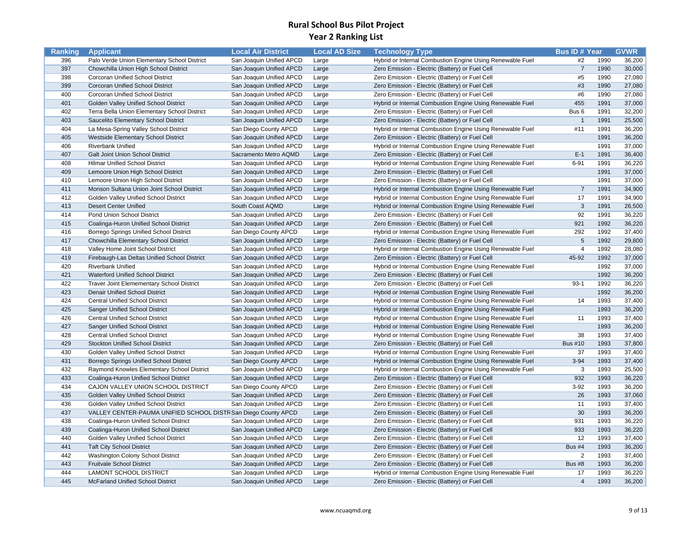| Ranking | <b>Applicant</b>                                               | <b>Local Air District</b> | <b>Local AD Size</b> | <b>Technology Type</b>                                    | <b>Bus ID# Year</b> |      | <b>GVWR</b> |
|---------|----------------------------------------------------------------|---------------------------|----------------------|-----------------------------------------------------------|---------------------|------|-------------|
| 396     | Palo Verde Union Elementary School District                    | San Joaquin Unified APCD  | Large                | Hybrid or Internal Combustion Engine Using Renewable Fuel | #2                  | 1990 | 36,200      |
| 397     | Chowchilla Union High School District                          | San Joaquin Unified APCD  | Large                | Zero Emission - Electric (Battery) or Fuel Cell           | $\overline{7}$      | 1990 | 30,000      |
| 398     | Corcoran Unified School District                               | San Joaquin Unified APCD  | Large                | Zero Emission - Electric (Battery) or Fuel Cell           | #5                  | 1990 | 27,080      |
| 399     | Corcoran Unified School District                               | San Joaquin Unified APCD  | Large                | Zero Emission - Electric (Battery) or Fuel Cell           | #3                  | 1990 | 27,080      |
| 400     | Corcoran Unified School District                               | San Joaquin Unified APCD  | Large                | Zero Emission - Electric (Battery) or Fuel Cell           | #6                  | 1990 | 27,080      |
| 401     | Golden Valley Unified School District                          | San Joaquin Unified APCD  | Large                | Hybrid or Internal Combustion Engine Using Renewable Fuel | 455                 | 1991 | 37,000      |
| 402     | Terra Bella Union Elementary School District                   | San Joaquin Unified APCD  | Large                | Zero Emission - Electric (Battery) or Fuel Cell           | Bus <sub>6</sub>    | 1991 | 32,200      |
| 403     | Saucelito Elementary School District                           | San Joaquin Unified APCD  | Large                | Zero Emission - Electric (Battery) or Fuel Cell           | $\overline{1}$      | 1991 | 25,500      |
| 404     | La Mesa-Spring Valley School District                          | San Diego County APCD     | Large                | Hybrid or Internal Combustion Engine Using Renewable Fuel | #11                 | 1991 | 36,200      |
| 405     | Westside Elementary School District                            | San Joaquin Unified APCD  | Large                | Zero Emission - Electric (Battery) or Fuel Cell           |                     | 1991 | 36,200      |
| 406     | <b>Riverbank Unified</b>                                       | San Joaquin Unified APCD  | Large                | Hybrid or Internal Combustion Engine Using Renewable Fuel |                     | 1991 | 37,000      |
| 407     | Galt Joint Union School District                               | Sacramento Metro AQMD     | Large                | Zero Emission - Electric (Battery) or Fuel Cell           | $E-1$               | 1991 | 36,400      |
| 408     | <b>Hilmar Unified School District</b>                          | San Joaquin Unified APCD  | Large                | Hybrid or Internal Combustion Engine Using Renewable Fuel | $6 - 91$            | 1991 | 36,220      |
| 409     | Lemoore Union High School District                             | San Joaquin Unified APCD  | Large                | Zero Emission - Electric (Battery) or Fuel Cell           |                     | 1991 | 37,000      |
| 410     | Lemoore Union High School District                             | San Joaquin Unified APCD  | Large                | Zero Emission - Electric (Battery) or Fuel Cell           |                     | 1991 | 37,000      |
| 411     | Monson Sultana Union Joint School District                     | San Joaquin Unified APCD  | Large                | Hybrid or Internal Combustion Engine Using Renewable Fuel | $\overline{7}$      | 1991 | 34,900      |
| 412     | Golden Valley Unified School District                          | San Joaquin Unified APCD  | Large                | Hybrid or Internal Combustion Engine Using Renewable Fuel | 17                  | 1991 | 34,900      |
| 413     | <b>Desert Center Unified</b>                                   | South Coast AQMD          | Large                | Hybrid or Internal Combustion Engine Using Renewable Fuel | $\mathbf{3}$        | 1991 | 26,500      |
| 414     | Pond Union School District                                     | San Joaquin Unified APCD  | Large                | Zero Emission - Electric (Battery) or Fuel Cell           | 92                  | 1991 | 36,220      |
| 415     | Coalinga-Huron Unified School District                         | San Joaquin Unified APCD  | Large                | Zero Emission - Electric (Battery) or Fuel Cell           | 921                 | 1992 | 36,220      |
| 416     | Borrego Springs Unified School District                        | San Diego County APCD     | Large                | Hybrid or Internal Combustion Engine Using Renewable Fuel | 292                 | 1992 | 37,400      |
| 417     | Chowchilla Elementary School District                          | San Joaquin Unified APCD  | Large                | Zero Emission - Electric (Battery) or Fuel Cell           | $5\phantom{.0}$     | 1992 | 29,800      |
| 418     | Valley Home Joint School District                              | San Joaquin Unified APCD  | Large                | Hybrid or Internal Combustion Engine Using Renewable Fuel | $\overline{4}$      | 1992 | 28,080      |
| 419     | Firebaugh-Las Deltas Unified School District                   | San Joaquin Unified APCD  | Large                | Zero Emission - Electric (Battery) or Fuel Cell           | 45-92               | 1992 | 37,000      |
| 420     | <b>Riverbank Unified</b>                                       | San Joaquin Unified APCD  | Large                | Hybrid or Internal Combustion Engine Using Renewable Fuel |                     | 1992 | 37,000      |
| 421     | <b>Waterford Unified School District</b>                       | San Joaquin Unified APCD  | Large                | Zero Emission - Electric (Battery) or Fuel Cell           |                     | 1992 | 36,200      |
| 422     | <b>Traver Joint Elemementary School District</b>               | San Joaquin Unified APCD  | Large                | Zero Emission - Electric (Battery) or Fuel Cell           | $93-1$              | 1992 | 36,220      |
| 423     | <b>Denair Unified School District</b>                          | San Joaquin Unified APCD  | Large                | Hybrid or Internal Combustion Engine Using Renewable Fuel |                     | 1992 | 36,200      |
| 424     | <b>Central Unified School District</b>                         | San Joaquin Unified APCD  | Large                | Hybrid or Internal Combustion Engine Using Renewable Fuel | 14                  | 1993 | 37,400      |
| 425     | <b>Sanger Unified School District</b>                          | San Joaquin Unified APCD  | Large                | Hybrid or Internal Combustion Engine Using Renewable Fuel |                     | 1993 | 36,200      |
| 426     | <b>Central Unified School District</b>                         | San Joaquin Unified APCD  | Large                | Hybrid or Internal Combustion Engine Using Renewable Fuel | 11                  | 1993 | 37,400      |
| 427     | <b>Sanger Unified School District</b>                          | San Joaquin Unified APCD  | Large                | Hybrid or Internal Combustion Engine Using Renewable Fuel |                     | 1993 | 36,200      |
| 428     | <b>Central Unified School District</b>                         | San Joaquin Unified APCD  | Large                | Hybrid or Internal Combustion Engine Using Renewable Fuel | 38                  | 1993 | 37,400      |
| 429     | <b>Stockton Unified School District</b>                        | San Joaquin Unified APCD  | Large                | Zero Emission - Electric (Battery) or Fuel Cell           | <b>Bus #10</b>      | 1993 | 37,800      |
| 430     | Golden Valley Unified School District                          | San Joaquin Unified APCD  | Large                | Hybrid or Internal Combustion Engine Using Renewable Fuel | 37                  | 1993 | 37,400      |
| 431     | Borrego Springs Unified School District                        | San Diego County APCD     | Large                | Hybrid or Internal Combustion Engine Using Renewable Fuel | $3 - 94$            | 1993 | 37,400      |
| 432     | Raymond Knowles Elementary School District                     | San Joaquin Unified APCD  | Large                | Hybrid or Internal Combustion Engine Using Renewable Fuel | 3                   | 1993 | 25,500      |
| 433     | Coalinga-Huron Unified School District                         | San Joaquin Unified APCD  | Large                | Zero Emission - Electric (Battery) or Fuel Cell           | 932                 | 1993 | 36,220      |
| 434     | CAJON VALLEY UNION SCHOOL DISTRICT                             | San Diego County APCD     | Large                | Zero Emission - Electric (Battery) or Fuel Cell           | $3 - 92$            | 1993 | 36,200      |
| 435     | Golden Valley Unified School District                          | San Joaquin Unified APCD  | Large                | Zero Emission - Electric (Battery) or Fuel Cell           | 26                  | 1993 | 37,060      |
| 436     | Golden Valley Unified School District                          | San Joaquin Unified APCD  | Large                | Zero Emission - Electric (Battery) or Fuel Cell           | 11                  | 1993 | 37,400      |
| 437     | VALLEY CENTER-PAUMA UNIFIED SCHOOL DISTR San Diego County APCD |                           | Large                | Zero Emission - Electric (Battery) or Fuel Cell           | 30                  | 1993 | 36,200      |
| 438     | Coalinga-Huron Unified School District                         | San Joaquin Unified APCD  | Large                | Zero Emission - Electric (Battery) or Fuel Cell           | 931                 | 1993 | 36,220      |
| 439     | Coalinga-Huron Unified School District                         | San Joaquin Unified APCD  | Large                | Zero Emission - Electric (Battery) or Fuel Cell           | 933                 | 1993 | 36,220      |
| 440     | Golden Valley Unified School District                          | San Joaquin Unified APCD  | Large                | Zero Emission - Electric (Battery) or Fuel Cell           | 12                  | 1993 | 37,400      |
| 441     | <b>Taft City School District</b>                               | San Joaquin Unified APCD  | Large                | Zero Emission - Electric (Battery) or Fuel Cell           | <b>Bus #4</b>       | 1993 | 36,200      |
| 442     | Washington Colony School District                              | San Joaquin Unified APCD  | Large                | Zero Emission - Electric (Battery) or Fuel Cell           | $\overline{2}$      | 1993 | 37,400      |
| 443     | <b>Fruitvale School District</b>                               | San Joaquin Unified APCD  | Large                | Zero Emission - Electric (Battery) or Fuel Cell           | <b>Bus #8</b>       | 1993 | 36,200      |
| 444     | LAMONT SCHOOL DISTRICT                                         | San Joaquin Unified APCD  | Large                | Hybrid or Internal Combustion Engine Using Renewable Fuel | 17                  | 1993 | 36,220      |
| 445     | <b>McFarland Unified School District</b>                       | San Joaquin Unified APCD  | Large                | Zero Emission - Electric (Battery) or Fuel Cell           | $\overline{4}$      | 1993 | 36,200      |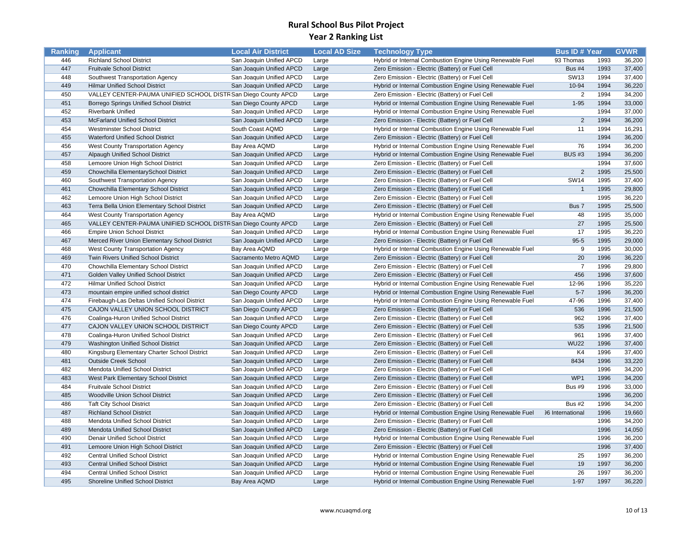| Ranking | <b>Applicant</b>                                               | <b>Local Air District</b> | <b>Local AD Size</b> | <b>Technology Type</b>                                    | <b>Bus ID# Year</b>     |      | <b>GVWR</b> |
|---------|----------------------------------------------------------------|---------------------------|----------------------|-----------------------------------------------------------|-------------------------|------|-------------|
| 446     | <b>Richland School District</b>                                | San Joaquin Unified APCD  | Large                | Hybrid or Internal Combustion Engine Using Renewable Fuel | 93 Thomas               | 1993 | 36,200      |
| 447     | <b>Fruitvale School District</b>                               | San Joaquin Unified APCD  | Large                | Zero Emission - Electric (Battery) or Fuel Cell           | Bus $#4$                | 1993 | 37,400      |
| 448     | Southwest Transportation Agency                                | San Joaquin Unified APCD  | Large                | Zero Emission - Electric (Battery) or Fuel Cell           | <b>SW13</b>             | 1994 | 37,400      |
| 449     | <b>Hilmar Unified School District</b>                          | San Joaquin Unified APCD  | Large                | Hybrid or Internal Combustion Engine Using Renewable Fuel | 10-94                   | 1994 | 36,220      |
| 450     | VALLEY CENTER-PAUMA UNIFIED SCHOOL DISTR San Diego County APCD |                           | Large                | Zero Emission - Electric (Battery) or Fuel Cell           | $\overline{2}$          | 1994 | 34,200      |
| 451     | Borrego Springs Unified School District                        | San Diego County APCD     | Large                | Hybrid or Internal Combustion Engine Using Renewable Fuel | $1 - 95$                | 1994 | 33,000      |
| 452     | <b>Riverbank Unified</b>                                       | San Joaquin Unified APCD  | Large                | Hybrid or Internal Combustion Engine Using Renewable Fuel |                         | 1994 | 37,000      |
| 453     | <b>McFarland Unified School District</b>                       | San Joaquin Unified APCD  | Large                | Zero Emission - Electric (Battery) or Fuel Cell           | $\overline{2}$          | 1994 | 36,200      |
| 454     | Westminster School District                                    | South Coast AQMD          | Large                | Hybrid or Internal Combustion Engine Using Renewable Fuel | 11                      | 1994 | 16,291      |
| 455     | <b>Waterford Unified School District</b>                       | San Joaquin Unified APCD  | Large                | Zero Emission - Electric (Battery) or Fuel Cell           |                         | 1994 | 36,200      |
| 456     | West County Transportation Agency                              | Bay Area AQMD             | Large                | Hybrid or Internal Combustion Engine Using Renewable Fuel | 76                      | 1994 | 36,200      |
| 457     | Alpaugh Unified School District                                | San Joaquin Unified APCD  | Large                | Hybrid or Internal Combustion Engine Using Renewable Fuel | <b>BUS#3</b>            | 1994 | 36,200      |
| 458     | Lemoore Union High School District                             | San Joaquin Unified APCD  | Large                | Zero Emission - Electric (Battery) or Fuel Cell           |                         | 1994 | 37,600      |
| 459     | Chowchilla ElementarySchool District                           | San Joaquin Unified APCD  | Large                | Zero Emission - Electric (Battery) or Fuel Cell           | $\overline{2}$          | 1995 | 25,500      |
| 460     | Southwest Transportation Agency                                | San Joaquin Unified APCD  | Large                | Zero Emission - Electric (Battery) or Fuel Cell           | <b>SW14</b>             | 1995 | 37,400      |
| 461     | Chowchilla Elementary School District                          | San Joaquin Unified APCD  | Large                | Zero Emission - Electric (Battery) or Fuel Cell           | $\mathbf{1}$            | 1995 | 29,800      |
| 462     | Lemoore Union High School District                             | San Joaquin Unified APCD  | Large                | Zero Emission - Electric (Battery) or Fuel Cell           |                         | 1995 | 36,220      |
| 463     | Terra Bella Union Elementary School District                   | San Joaquin Unified APCD  | Large                | Zero Emission - Electric (Battery) or Fuel Cell           | Bus 7                   | 1995 | 25,500      |
| 464     | West County Transportation Agency                              | Bay Area AQMD             | Large                | Hybrid or Internal Combustion Engine Using Renewable Fuel | 48                      | 1995 | 35,000      |
| 465     | VALLEY CENTER-PAUMA UNIFIED SCHOOL DISTR San Diego County APCD |                           | Large                | Zero Emission - Electric (Battery) or Fuel Cell           | 27                      | 1995 | 25,500      |
| 466     | <b>Empire Union School District</b>                            | San Joaquin Unified APCD  | Large                | Hybrid or Internal Combustion Engine Using Renewable Fuel | 17                      | 1995 | 36,220      |
| 467     | Merced River Union Elementary School District                  | San Joaquin Unified APCD  | Large                | Zero Emission - Electric (Battery) or Fuel Cell           | $95 - 5$                | 1995 | 29,000      |
| 468     | West County Transportation Agency                              | Bay Area AQMD             | Large                | Hybrid or Internal Combustion Engine Using Renewable Fuel | 9                       | 1995 | 30,000      |
| 469     | Twin Rivers Unified School District                            | Sacramento Metro AQMD     | Large                | Zero Emission - Electric (Battery) or Fuel Cell           | 20                      | 1996 | 36,220      |
| 470     | Chowchilla Elementary School District                          | San Joaquin Unified APCD  | Large                | Zero Emission - Electric (Battery) or Fuel Cell           | $\overline{7}$          | 1996 | 29,800      |
| 471     | Golden Valley Unified School District                          | San Joaquin Unified APCD  | Large                | Zero Emission - Electric (Battery) or Fuel Cell           | 456                     | 1996 | 37,600      |
| 472     | <b>Hilmar Unified School District</b>                          | San Joaquin Unified APCD  | Large                | Hybrid or Internal Combustion Engine Using Renewable Fuel | 12-96                   | 1996 | 35,220      |
| 473     | mountain empire unified school district                        | San Diego County APCD     | Large                | Hybrid or Internal Combustion Engine Using Renewable Fuel | $5 - 7$                 | 1996 | 36,200      |
| 474     | Firebaugh-Las Deltas Unified School District                   | San Joaquin Unified APCD  | Large                | Hybrid or Internal Combustion Engine Using Renewable Fuel | 47-96                   | 1996 | 37,400      |
| 475     | CAJON VALLEY UNION SCHOOL DISTRICT                             | San Diego County APCD     | Large                | Zero Emission - Electric (Battery) or Fuel Cell           | 536                     | 1996 | 21,500      |
| 476     | Coalinga-Huron Unified School District                         | San Joaquin Unified APCD  | Large                | Zero Emission - Electric (Battery) or Fuel Cell           | 962                     | 1996 | 37,400      |
| 477     | CAJON VALLEY UNION SCHOOL DISTRICT                             | San Diego County APCD     | Large                | Zero Emission - Electric (Battery) or Fuel Cell           | 535                     | 1996 | 21,500      |
| 478     | Coalinga-Huron Unified School District                         | San Joaquin Unified APCD  | Large                | Zero Emission - Electric (Battery) or Fuel Cell           | 961                     | 1996 | 37,400      |
| 479     | Washington Unified School District                             | San Joaquin Unified APCD  | Large                | Zero Emission - Electric (Battery) or Fuel Cell           | <b>WU22</b>             | 1996 | 37,400      |
| 480     | Kingsburg Elementary Charter School District                   | San Joaquin Unified APCD  | Large                | Zero Emission - Electric (Battery) or Fuel Cell           | K4                      | 1996 | 37,400      |
| 481     | <b>Outside Creek School</b>                                    | San Joaquin Unified APCD  | Large                | Zero Emission - Electric (Battery) or Fuel Cell           | 8434                    | 1996 | 33,220      |
| 482     | <b>Mendota Unified School District</b>                         | San Joaquin Unified APCD  | Large                | Zero Emission - Electric (Battery) or Fuel Cell           |                         | 1996 | 34,200      |
| 483     | West Park Elementary School District                           | San Joaquin Unified APCD  | Large                | Zero Emission - Electric (Battery) or Fuel Cell           | WP1                     | 1996 | 34,200      |
| 484     | <b>Fruitvale School District</b>                               | San Joaquin Unified APCD  | Large                | Zero Emission - Electric (Battery) or Fuel Cell           | <b>Bus #9</b>           | 1996 | 33,000      |
| 485     | Woodville Union School District                                | San Joaquin Unified APCD  | Large                | Zero Emission - Electric (Battery) or Fuel Cell           |                         | 1996 | 36,200      |
| 486     | <b>Taft City School District</b>                               | San Joaquin Unified APCD  | Large                | Zero Emission - Electric (Battery) or Fuel Cell           | <b>Bus #2</b>           | 1996 | 34,200      |
| 487     | <b>Richland School District</b>                                | San Joaquin Unified APCD  | Large                | Hybrid or Internal Combustion Engine Using Renewable Fuel | <b>36 International</b> | 1996 | 19,660      |
| 488     | Mendota Unified School District                                | San Joaquin Unified APCD  | Large                | Zero Emission - Electric (Battery) or Fuel Cell           |                         | 1996 | 34,200      |
| 489     | Mendota Unified School District                                | San Joaquin Unified APCD  | Large                | Zero Emission - Electric (Battery) or Fuel Cell           |                         | 1996 | 14,050      |
| 490     | Denair Unified School District                                 | San Joaquin Unified APCD  | Large                | Hybrid or Internal Combustion Engine Using Renewable Fuel |                         | 1996 | 36,200      |
| 491     | Lemoore Union High School District                             | San Joaquin Unified APCD  | Large                | Zero Emission - Electric (Battery) or Fuel Cell           |                         | 1996 | 37,400      |
| 492     | <b>Central Unified School District</b>                         | San Joaquin Unified APCD  | Large                | Hybrid or Internal Combustion Engine Using Renewable Fuel | 25                      | 1997 | 36,200      |
| 493     | <b>Central Unified School District</b>                         | San Joaquin Unified APCD  | Large                | Hybrid or Internal Combustion Engine Using Renewable Fuel | 19                      | 1997 | 36,200      |
| 494     | <b>Central Unified School District</b>                         | San Joaquin Unified APCD  | Large                | Hybrid or Internal Combustion Engine Using Renewable Fuel | 26                      | 1997 | 36,200      |
| 495     | Shoreline Unified School District                              | Bay Area AQMD             | Large                | Hybrid or Internal Combustion Engine Using Renewable Fuel | $1 - 97$                | 1997 | 36,220      |
|         |                                                                |                           |                      |                                                           |                         |      |             |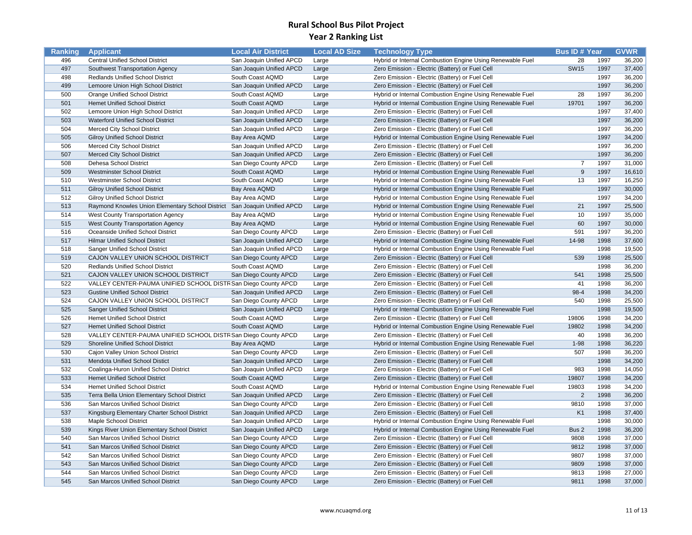| Ranking | <b>Applicant</b>                                                          | <b>Local Air District</b> | <b>Local AD Size</b> | <b>Technology Type</b>                                    | <b>Bus ID# Year</b> |      | <b>GVWR</b> |
|---------|---------------------------------------------------------------------------|---------------------------|----------------------|-----------------------------------------------------------|---------------------|------|-------------|
| 496     | <b>Central Unified School District</b>                                    | San Joaquin Unified APCD  | Large                | Hybrid or Internal Combustion Engine Using Renewable Fuel | 28                  | 1997 | 36,200      |
| 497     | Southwest Transportation Agency                                           | San Joaquin Unified APCD  | Large                | Zero Emission - Electric (Battery) or Fuel Cell           | <b>SW15</b>         | 1997 | 37,400      |
| 498     | Redlands Unified School District                                          | South Coast AQMD          | Large                | Zero Emission - Electric (Battery) or Fuel Cell           |                     | 1997 | 36,200      |
| 499     | Lemoore Union High School District                                        | San Joaquin Unified APCD  | Large                | Zero Emission - Electric (Battery) or Fuel Cell           |                     | 1997 | 36,200      |
| 500     | Orange Unified School District                                            | South Coast AQMD          | Large                | Hybrid or Internal Combustion Engine Using Renewable Fuel | 28                  | 1997 | 36,200      |
| 501     | <b>Hemet Unified School District</b>                                      | South Coast AQMD          | Large                | Hybrid or Internal Combustion Engine Using Renewable Fuel | 19701               | 1997 | 36,200      |
| 502     | Lemoore Union High School District                                        | San Joaquin Unified APCD  | Large                | Zero Emission - Electric (Battery) or Fuel Cell           |                     | 1997 | 37,400      |
| 503     | Waterford Unified School District                                         | San Joaquin Unified APCD  | Large                | Zero Emission - Electric (Battery) or Fuel Cell           |                     | 1997 | 36,200      |
| 504     | <b>Merced City School District</b>                                        | San Joaquin Unified APCD  | Large                | Zero Emission - Electric (Battery) or Fuel Cell           |                     | 1997 | 36,200      |
| 505     | <b>Gilroy Unified School District</b>                                     | Bay Area AQMD             | Large                | Hybrid or Internal Combustion Engine Using Renewable Fuel |                     | 1997 | 34,200      |
| 506     | Merced City School District                                               | San Joaquin Unified APCD  | Large                | Zero Emission - Electric (Battery) or Fuel Cell           |                     | 1997 | 36,200      |
| 507     | Merced City School District                                               | San Joaquin Unified APCD  | Large                | Zero Emission - Electric (Battery) or Fuel Cell           |                     | 1997 | 36,200      |
| 508     | Dehesa School District                                                    | San Diego County APCD     | Large                | Zero Emission - Electric (Battery) or Fuel Cell           | $\overline{7}$      | 1997 | 31,000      |
| 509     | <b>Westminster School District</b>                                        | South Coast AQMD          | Large                | Hybrid or Internal Combustion Engine Using Renewable Fuel | 9                   | 1997 | 16,610      |
| 510     | <b>Westminster School District</b>                                        | South Coast AQMD          | Large                | Hybrid or Internal Combustion Engine Using Renewable Fuel | 13                  | 1997 | 16,250      |
| 511     | <b>Gilroy Unified School District</b>                                     | Bay Area AQMD             | Large                | Hybrid or Internal Combustion Engine Using Renewable Fuel |                     | 1997 | 30,000      |
| 512     | <b>Gilroy Unified School District</b>                                     | Bay Area AQMD             | Large                | Hybrid or Internal Combustion Engine Using Renewable Fuel |                     | 1997 | 34,200      |
| 513     | Raymond Knowles Union Elementary School District San Joaquin Unified APCD |                           | Large                | Hybrid or Internal Combustion Engine Using Renewable Fuel | 21                  | 1997 | 25,500      |
| 514     | West County Transportation Agency                                         | Bay Area AQMD             | Large                | Hybrid or Internal Combustion Engine Using Renewable Fuel | 10                  | 1997 | 35,000      |
| 515     | <b>West County Transportation Agency</b>                                  | Bay Area AQMD             | Large                | Hybrid or Internal Combustion Engine Using Renewable Fuel | 60                  | 1997 | 30,000      |
| 516     | Oceanside Unified School District                                         | San Diego County APCD     | Large                | Zero Emission - Electric (Battery) or Fuel Cell           | 591                 | 1997 | 36,200      |
| 517     | <b>Hilmar Unified School District</b>                                     | San Joaquin Unified APCD  | Large                | Hybrid or Internal Combustion Engine Using Renewable Fuel | 14-98               | 1998 | 37,600      |
| 518     | Sanger Unified School District                                            | San Joaquin Unified APCD  | Large                | Hybrid or Internal Combustion Engine Using Renewable Fuel |                     | 1998 | 19,500      |
| 519     | CAJON VALLEY UNION SCHOOL DISTRICT                                        | San Diego County APCD     | Large                | Zero Emission - Electric (Battery) or Fuel Cell           | 539                 | 1998 | 25,500      |
| 520     | <b>Redlands Unified School District</b>                                   | South Coast AQMD          | Large                | Zero Emission - Electric (Battery) or Fuel Cell           |                     | 1998 | 36,200      |
| 521     | CAJON VALLEY UNION SCHOOL DISTRICT                                        | San Diego County APCD     | Large                | Zero Emission - Electric (Battery) or Fuel Cell           | 541                 | 1998 | 25,500      |
| 522     | VALLEY CENTER-PAUMA UNIFIED SCHOOL DISTR San Diego County APCD            |                           | Large                | Zero Emission - Electric (Battery) or Fuel Cell           | 41                  | 1998 | 36,200      |
| 523     | <b>Gustine Unified School District</b>                                    | San Joaquin Unified APCD  | Large                | Zero Emission - Electric (Battery) or Fuel Cell           | 98-4                | 1998 | 34,200      |
| 524     | CAJON VALLEY UNION SCHOOL DISTRICT                                        | San Diego County APCD     | Large                | Zero Emission - Electric (Battery) or Fuel Cell           | 540                 | 1998 | 25,500      |
| 525     | <b>Sanger Unified School District</b>                                     | San Joaquin Unified APCD  | Large                | Hybrid or Internal Combustion Engine Using Renewable Fuel |                     | 1998 | 19,500      |
| 526     | <b>Hemet Unified School District</b>                                      | South Coast AQMD          | Large                | Zero Emission - Electric (Battery) or Fuel Cell           | 19806               | 1998 | 34,200      |
| 527     | <b>Hemet Unified School District</b>                                      | South Coast AQMD          | Large                | Hybrid or Internal Combustion Engine Using Renewable Fuel | 19802               | 1998 | 34,200      |
| 528     | VALLEY CENTER-PAUMA UNIFIED SCHOOL DISTR San Diego County APCD            |                           | Large                | Zero Emission - Electric (Battery) or Fuel Cell           | 40                  | 1998 | 36,200      |
| 529     | Shoreline Unified School District                                         | Bay Area AQMD             | Large                | Hybrid or Internal Combustion Engine Using Renewable Fuel | $1 - 98$            | 1998 | 36,220      |
| 530     | Cajon Valley Union School District                                        | San Diego County APCD     | Large                | Zero Emission - Electric (Battery) or Fuel Cell           | 507                 | 1998 | 36,200      |
| 531     | <b>Mendota Unified School Distict</b>                                     | San Joaquin Unified APCD  | Large                | Zero Emission - Electric (Battery) or Fuel Cell           |                     | 1998 | 34,200      |
| 532     | Coalinga-Huron Unified School District                                    | San Joaquin Unified APCD  | Large                | Zero Emission - Electric (Battery) or Fuel Cell           | 983                 | 1998 | 14,050      |
| 533     | <b>Hemet Unified School District</b>                                      | South Coast AQMD          | Large                | Zero Emission - Electric (Battery) or Fuel Cell           | 19807               | 1998 | 34,200      |
| 534     | <b>Hemet Unified School District</b>                                      | South Coast AQMD          | Large                | Hybrid or Internal Combustion Engine Using Renewable Fuel | 19803               | 1998 | 34,200      |
| 535     | Terra Bella Union Elementary School District                              | San Joaquin Unified APCD  | Large                | Zero Emission - Electric (Battery) or Fuel Cell           | $\overline{2}$      | 1998 | 36,200      |
| 536     | San Marcos Unified School District                                        | San Diego County APCD     | Large                | Zero Emission - Electric (Battery) or Fuel Cell           | 9810                | 1998 | 37,000      |
| 537     | Kingsburg Elementary Charter School District                              | San Joaquin Unified APCD  | Large                | Zero Emission - Electric (Battery) or Fuel Cell           | K <sub>1</sub>      | 1998 | 37,400      |
| 538     | <b>Maple Schoool District</b>                                             | San Joaquin Unified APCD  | Large                | Hybrid or Internal Combustion Engine Using Renewable Fuel |                     | 1998 | 30,000      |
| 539     | Kings River Union Elementary School District                              | San Joaquin Unified APCD  | Large                | Hybrid or Internal Combustion Engine Using Renewable Fuel | Bus 2               | 1998 | 36,200      |
| 540     | San Marcos Unified School District                                        | San Diego County APCD     | Large                | Zero Emission - Electric (Battery) or Fuel Cell           | 9808                | 1998 | 37,000      |
| 541     | San Marcos Unified School District                                        | San Diego County APCD     | Large                | Zero Emission - Electric (Battery) or Fuel Cell           | 9812                | 1998 | 37,000      |
| 542     | San Marcos Unified School District                                        | San Diego County APCD     | Large                | Zero Emission - Electric (Battery) or Fuel Cell           | 9807                | 1998 | 37,000      |
| 543     | San Marcos Unified School District                                        | San Diego County APCD     | Large                | Zero Emission - Electric (Battery) or Fuel Cell           | 9809                | 1998 | 37,000      |
| 544     | San Marcos Unified School District                                        | San Diego County APCD     | Large                | Zero Emission - Electric (Battery) or Fuel Cell           | 9813                | 1998 | 27,000      |
| 545     | San Marcos Unified School District                                        | San Diego County APCD     | Large                | Zero Emission - Electric (Battery) or Fuel Cell           | 9811                | 1998 | 37,000      |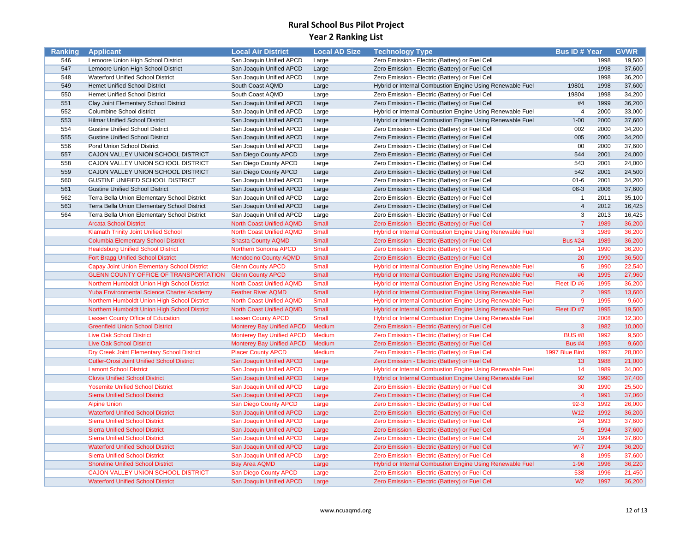| Ranking | <b>Applicant</b>                                  | <b>Local Air District</b>        | <b>Local AD Size</b> | <b>Technology Type</b>                                    | <b>Bus ID# Year</b> |      | <b>GVWR</b> |
|---------|---------------------------------------------------|----------------------------------|----------------------|-----------------------------------------------------------|---------------------|------|-------------|
| 546     | Lemoore Union High School District                | San Joaquin Unified APCD         | Large                | Zero Emission - Electric (Battery) or Fuel Cell           |                     | 1998 | 19,500      |
| 547     | Lemoore Union High School District                | San Joaquin Unified APCD         | Large                | Zero Emission - Electric (Battery) or Fuel Cell           |                     | 1998 | 37,600      |
| 548     | Waterford Unified School District                 | San Joaquin Unified APCD         | Large                | Zero Emission - Electric (Battery) or Fuel Cell           |                     | 1998 | 36,200      |
| 549     | <b>Hemet Unified School District</b>              | South Coast AQMD                 | Large                | Hybrid or Internal Combustion Engine Using Renewable Fuel | 19801               | 1998 | 37,600      |
| 550     | <b>Hemet Unified School District</b>              | South Coast AQMD                 | Large                | Zero Emission - Electric (Battery) or Fuel Cell           | 19804               | 1998 | 34,200      |
| 551     | Clay Joint Elementary School District             | San Joaquin Unified APCD         | Large                | Zero Emission - Electric (Battery) or Fuel Cell           | #4                  | 1999 | 36,200      |
| 552     | Columbine School district                         | San Joaquin Unified APCD         | Large                | Hybrid or Internal Combustion Engine Using Renewable Fuel | $\overline{4}$      | 2000 | 33,000      |
| 553     | <b>Hilmar Unified School District</b>             | San Joaquin Unified APCD         | Large                | Hybrid or Internal Combustion Engine Using Renewable Fuel | $1 - 00$            | 2000 | 37,600      |
| 554     | <b>Gustine Unified School District</b>            | San Joaquin Unified APCD         | Large                | Zero Emission - Electric (Battery) or Fuel Cell           | 002                 | 2000 | 34,200      |
| 555     | <b>Gustine Unified School District</b>            | San Joaquin Unified APCD         | Large                | Zero Emission - Electric (Battery) or Fuel Cell           | 005                 | 2000 | 34,200      |
| 556     | Pond Union School District                        | San Joaquin Unified APCD         | Large                | Zero Emission - Electric (Battery) or Fuel Cell           | 00                  | 2000 | 37,600      |
| 557     | CAJON VALLEY UNION SCHOOL DISTRICT                | San Diego County APCD            | Large                | Zero Emission - Electric (Battery) or Fuel Cell           | 544                 | 2001 | 24,000      |
| 558     | CAJON VALLEY UNION SCHOOL DISTRICT                | San Diego County APCD            | Large                | Zero Emission - Electric (Battery) or Fuel Cell           | 543                 | 2001 | 24,000      |
| 559     | CAJON VALLEY UNION SCHOOL DISTRICT                | San Diego County APCD            | Large                | Zero Emission - Electric (Battery) or Fuel Cell           | 542                 | 2001 | 24,500      |
| 560     | GUSTINE UNIFIED SCHOOL DISTRICT                   | San Joaquin Unified APCD         | Large                | Zero Emission - Electric (Battery) or Fuel Cell           | $01 - 6$            | 2001 | 34,200      |
| 561     | <b>Gustine Unified School District</b>            | San Joaquin Unified APCD         | Large                | Zero Emission - Electric (Battery) or Fuel Cell           | 06-3                | 2006 | 37,600      |
| 562     | Terra Bella Union Elementary School District      | San Joaquin Unified APCD         | Large                | Zero Emission - Electric (Battery) or Fuel Cell           | $\overline{1}$      | 2011 | 35,100      |
| 563     | Terra Bella Union Elementary School District      | San Joaquin Unified APCD         | Large                | Zero Emission - Electric (Battery) or Fuel Cell           | $\overline{4}$      | 2012 | 16,425      |
| 564     | Terra Bella Union Elementary School District      | San Joaquin Unified APCD         | Large                | Zero Emission - Electric (Battery) or Fuel Cell           | $\overline{3}$      | 2013 | 16,425      |
|         | <b>Arcata School District</b>                     | <b>North Coast Unified AQMD</b>  | <b>Small</b>         | Zero Emission - Electric (Battery) or Fuel Cell           | $\overline{7}$      | 1989 | 36,200      |
|         | <b>Klamath Trinity Joint Unified School</b>       | <b>North Coast Unified AQMD</b>  | Small                | Hybrid or Internal Combustion Engine Using Renewable Fuel | $\mathbf{3}$        | 1989 | 36,200      |
|         | <b>Columbia Elementary School District</b>        | <b>Shasta County AQMD</b>        | <b>Small</b>         | Zero Emission - Electric (Battery) or Fuel Cell           | <b>Bus #24</b>      | 1989 | 36,200      |
|         | <b>Healdsburg Unified School District</b>         | Northern Sonoma APCD             | <b>Small</b>         | Zero Emission - Electric (Battery) or Fuel Cell           | 14                  | 1990 | 36,200      |
|         | Fort Bragg Unified School District                | <b>Mendocino County AQMD</b>     | Small                | Zero Emission - Electric (Battery) or Fuel Cell           | 20                  | 1990 | 36,500      |
|         | Capay Joint Union Elementary School District      | <b>Glenn County APCD</b>         | <b>Small</b>         | Hybrid or Internal Combustion Engine Using Renewable Fuel | 5                   | 1990 | 22,540      |
|         | <b>GLENN COUNTY OFFICE OF TRANSPORTATION</b>      | <b>Glenn County APCD</b>         | <b>Small</b>         | Hybrid or Internal Combustion Engine Using Renewable Fuel | #6                  | 1995 | 27,960      |
|         | Northern Humboldt Union High School District      | <b>North Coast Unified AQMD</b>  | <b>Small</b>         | Hybrid or Internal Combustion Engine Using Renewable Fuel | Fleet ID #6         | 1995 | 36,200      |
|         | <b>Yuba Environmental Science Charter Academy</b> | <b>Feather River AQMD</b>        | <b>Small</b>         | Hybrid or Internal Combustion Engine Using Renewable Fuel | $\overline{2}$      | 1995 | 13,600      |
|         | Northern Humboldt Union High School District      | <b>North Coast Unified AQMD</b>  | <b>Small</b>         | Hybrid or Internal Combustion Engine Using Renewable Fuel | 9                   | 1995 | 9,600       |
|         | Northern Humboldt Union High School District      | <b>North Coast Unified AQMD</b>  | <b>Small</b>         | Hybrid or Internal Combustion Engine Using Renewable Fuel | Fleet ID #7         | 1995 | 19,500      |
|         | <b>Lassen County Office of Education</b>          | <b>Lassen County APCD</b>        | <b>Small</b>         | Hybrid or Internal Combustion Engine Using Renewable Fuel |                     | 2008 | 12,300      |
|         | <b>Greenfield Union School District</b>           | <b>Monterey Bay Unified APCD</b> | Medium               | Zero Emission - Electric (Battery) or Fuel Cell           | $\mathbf{3}$        | 1982 | 10,000      |
|         | <b>Live Oak School District</b>                   | <b>Monterey Bay Unified APCD</b> | Medium               | Zero Emission - Electric (Battery) or Fuel Cell           | <b>BUS #8</b>       | 1992 | 9,500       |
|         | <b>Live Oak School District</b>                   | <b>Monterey Bay Unified APCD</b> | Medium               | Zero Emission - Electric (Battery) or Fuel Cell           | <b>Bus #4</b>       | 1993 | 9,600       |
|         | Dry Creek Joint Elementary School District        | <b>Placer County APCD</b>        | Medium               | Zero Emission - Electric (Battery) or Fuel Cell           | 1997 Blue Bird      | 1997 | 28,000      |
|         | <b>Cutler-Orosi Joint Unified School District</b> | San Joaquin Unified APCD         | Large                | Zero Emission - Electric (Battery) or Fuel Cell           | 13                  | 1988 | 21,000      |
|         | <b>Lamont School District</b>                     | San Joaquin Unified APCD         | Large                | Hybrid or Internal Combustion Engine Using Renewable Fuel | 14                  | 1989 | 34,000      |
|         | <b>Clovis Unified School District</b>             | San Joaquin Unified APCD         | Large                | Hybrid or Internal Combustion Engine Using Renewable Fuel | 92                  | 1990 | 37,400      |
|         | <b>Yosemite Unified School District</b>           | <b>San Joaquin Unified APCD</b>  | Large                | Zero Emission - Electric (Battery) or Fuel Cell           | 30                  | 1990 | 25,500      |
|         | <b>Sierra Unified School District</b>             | San Joaquin Unified APCD         | Large                | Zero Emission - Electric (Battery) or Fuel Cell           | $\overline{4}$      | 1991 | 37,060      |
|         | <b>Alpine Union</b>                               | San Diego County APCD            | Large                | Zero Emission - Electric (Battery) or Fuel Cell           | $92 - 3$            | 1992 | 26,000      |
|         | <b>Waterford Unified School District</b>          | San Joaquin Unified APCD         | Large                | Zero Emission - Electric (Battery) or Fuel Cell           | <b>W12</b>          | 1992 | 36,200      |
|         | <b>Sierra Unified School District</b>             | San Joaquin Unified APCD         | Large                | Zero Emission - Electric (Battery) or Fuel Cell           | 24                  | 1993 | 37,600      |
|         | <b>Sierra Unified School District</b>             | <b>San Joaquin Unified APCD</b>  | Large                | Zero Emission - Electric (Battery) or Fuel Cell           | $5\overline{5}$     | 1994 | 37,600      |
|         | <b>Sierra Unified School District</b>             | San Joaquin Unified APCD         | Large                | Zero Emission - Electric (Battery) or Fuel Cell           | 24                  | 1994 | 37,600      |
|         | <b>Waterford Unified School District</b>          | San Joaquin Unified APCD         | Large                | Zero Emission - Electric (Battery) or Fuel Cell           | $W-7$               | 1994 | 36,200      |
|         | <b>Sierra Unified School District</b>             | San Joaquin Unified APCD         | Large                | Zero Emission - Electric (Battery) or Fuel Cell           | 8                   | 1995 | 37,600      |
|         | <b>Shoreline Unified School District</b>          | <b>Bay Area AQMD</b>             | Large                | Hybrid or Internal Combustion Engine Using Renewable Fuel | $1 - 96$            | 1996 | 36,220      |
|         | CAJON VALLEY UNION SCHOOL DISTRICT                | San Diego County APCD            | Large                | Zero Emission - Electric (Battery) or Fuel Cell           | 538                 | 1996 | 21,450      |
|         | <b>Waterford Unified School District</b>          | San Joaquin Unified APCD         | Large                | Zero Emission - Electric (Battery) or Fuel Cell           | W <sub>2</sub>      | 1997 | 36,200      |